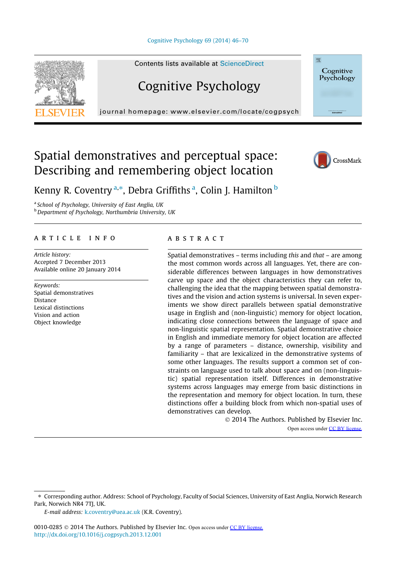



Contents lists available at [ScienceDirect](http://www.sciencedirect.com/science/journal/00100285)

# Cognitive Psychology

journal homepage: [www.elsevier.com/locate/cogpsych](http://www.elsevier.com/locate/cogpsych)

# Spatial demonstratives and perceptual space: Describing and remembering object location



Cognitive Psychology

開

Kenny R. Coventry <sup>a,</sup>\*, Debra Griffiths <sup>a</sup>, Colin J. Hamilton <sup>b</sup>

<sup>a</sup> School of Psychology, University of East Anglia, UK b Department of Psychology, Northumbria University, UK

# article info

Article history: Accepted 7 December 2013 Available online 20 January 2014

Keywords: Spatial demonstratives Distance Lexical distinctions Vision and action Object knowledge

#### **ABSTRACT**

Spatial demonstratives – terms including this and that – are among the most common words across all languages. Yet, there are considerable differences between languages in how demonstratives carve up space and the object characteristics they can refer to, challenging the idea that the mapping between spatial demonstratives and the vision and action systems is universal. In seven experiments we show direct parallels between spatial demonstrative usage in English and (non-linguistic) memory for object location, indicating close connections between the language of space and non-linguistic spatial representation. Spatial demonstrative choice in English and immediate memory for object location are affected by a range of parameters – distance, ownership, visibility and familiarity – that are lexicalized in the demonstrative systems of some other languages. The results support a common set of constraints on language used to talk about space and on (non-linguistic) spatial representation itself. Differences in demonstrative systems across languages may emerge from basic distinctions in the representation and memory for object location. In turn, these distinctions offer a building block from which non-spatial uses of demonstratives can develop.

> © 2014 The Authors. Published by Elsevier Inc. Open access under [CC BY license.](http://creativecommons.org/licenses/by/3.0/)

E-mail address: [k.coventry@uea.ac.uk](mailto:k.coventry@uea.ac.uk) (K.R. Coventry).

0010-0285 © 2014 The Authors. Published by Elsevier Inc. Open access under [CC BY license.](http://creativecommons.org/licenses/by/3.0/) <http://dx.doi.org/10.1016/j.cogpsych.2013.12.001>

<sup>⇑</sup> Corresponding author. Address: School of Psychology, Faculty of Social Sciences, University of East Anglia, Norwich Research Park, Norwich NR4 7TJ, UK.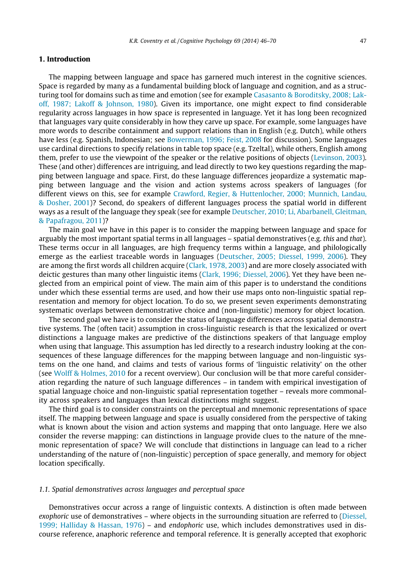#### 1. Introduction

The mapping between language and space has garnered much interest in the cognitive sciences. Space is regarded by many as a fundamental building block of language and cognition, and as a structuring tool for domains such as time and emotion (see for example [Casasanto & Boroditsky, 2008; Lak](#page-22-0)[off, 1987; Lakoff & Johnson, 1980](#page-22-0)). Given its importance, one might expect to find considerable regularity across languages in how space is represented in language. Yet it has long been recognized that languages vary quite considerably in how they carve up space. For example, some languages have more words to describe containment and support relations than in English (e.g. Dutch), while others have less (e.g. Spanish, Indonesian; see [Bowerman, 1996; Feist, 2008](#page-22-0) for discussion). Some languages use cardinal directions to specify relations in table top space (e.g. Tzeltal), while others, English among them, prefer to use the viewpoint of the speaker or the relative positions of objects [\(Levinson, 2003\)](#page-23-0). These (and other) differences are intriguing, and lead directly to two key questions regarding the mapping between language and space. First, do these language differences jeopardize a systematic mapping between language and the vision and action systems across speakers of languages (for different views on this, see for example [Crawford, Regier, & Huttenlocher, 2000; Munnich, Landau,](#page-22-0) [& Dosher, 2001\)](#page-22-0)? Second, do speakers of different languages process the spatial world in different ways as a result of the language they speak (see for example [Deutscher, 2010; Li, Abarbanell, Gleitman,](#page-22-0) [& Papafragou, 2011](#page-22-0))?

The main goal we have in this paper is to consider the mapping between language and space for arguably the most important spatial terms in all languages – spatial demonstratives (e.g. this and that). These terms occur in all languages, are high frequency terms within a language, and philologically emerge as the earliest traceable words in languages [\(Deutscher, 2005; Diessel, 1999, 2006](#page-22-0)). They are among the first words all children acquire [\(Clark, 1978, 2003\)](#page-22-0) and are more closely associated with deictic gestures than many other linguistic items ([Clark, 1996; Diessel, 2006\)](#page-22-0). Yet they have been neglected from an empirical point of view. The main aim of this paper is to understand the conditions under which these essential terms are used, and how their use maps onto non-linguistic spatial representation and memory for object location. To do so, we present seven experiments demonstrating systematic overlaps between demonstrative choice and (non-linguistic) memory for object location.

The second goal we have is to consider the status of language differences across spatial demonstrative systems. The (often tacit) assumption in cross-linguistic research is that the lexicalized or overt distinctions a language makes are predictive of the distinctions speakers of that language employ when using that language. This assumption has led directly to a research industry looking at the consequences of these language differences for the mapping between language and non-linguistic systems on the one hand, and claims and tests of various forms of 'linguistic relativity' on the other (see [Wolff & Holmes, 2010](#page-24-0) for a recent overview). Our conclusion will be that more careful consideration regarding the nature of such language differences – in tandem with empirical investigation of spatial language choice and non-linguistic spatial representation together – reveals more commonality across speakers and languages than lexical distinctions might suggest.

The third goal is to consider constraints on the perceptual and mnemonic representations of space itself. The mapping between language and space is usually considered from the perspective of taking what is known about the vision and action systems and mapping that onto language. Here we also consider the reverse mapping: can distinctions in language provide clues to the nature of the mnemonic representation of space? We will conclude that distinctions in language can lead to a richer understanding of the nature of (non-linguistic) perception of space generally, and memory for object location specifically.

# 1.1. Spatial demonstratives across languages and perceptual space

Demonstratives occur across a range of linguistic contexts. A distinction is often made between exophoric use of demonstratives – where objects in the surrounding situation are referred to [\(Diessel,](#page-22-0) [1999; Halliday & Hassan, 1976\)](#page-22-0) – and endophoric use, which includes demonstratives used in discourse reference, anaphoric reference and temporal reference. It is generally accepted that exophoric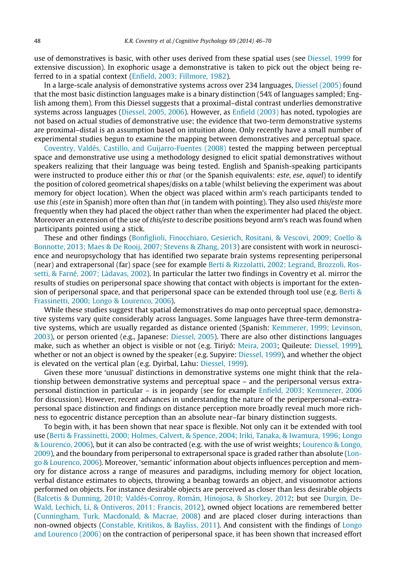use of demonstratives is basic, with other uses derived from these spatial uses (see [Diessel, 1999](#page-22-0) for extensive discussion). In exophoric usage a demonstrative is taken to pick out the object being referred to in a spatial context [\(Enfield, 2003; Fillmore, 1982](#page-22-0)).

In a large-scale analysis of demonstrative systems across over 234 languages, [Diessel \(2005\)](#page-22-0) found that the most basic distinction languages make is a binary distinction (54% of languages sampled; English among them). From this Diessel suggests that a proximal–distal contrast underlies demonstrative systems across languages ([Diessel, 2005, 2006](#page-22-0)). However, as [Enfield \(2003\)](#page-22-0) has noted, typologies are not based on actual studies of demonstrative use; the evidence that two-term demonstrative systems are proximal–distal is an assumption based on intuition alone. Only recently have a small number of experimental studies begun to examine the mapping between demonstratives and perceptual space.

[Coventry, Valdés, Castillo, and Guijarro-Fuentes \(2008\)](#page-22-0) tested the mapping between perceptual space and demonstrative use using a methodology designed to elicit spatial demonstratives without speakers realizing that their language was being tested. English and Spanish-speaking participants were instructed to produce either this or that (or the Spanish equivalents: este, ese, aquel) to identify the position of colored geometrical shapes/disks on a table (whilst believing the experiment was about memory for object location). When the object was placed within arm's reach participants tended to use this (este in Spanish) more often than that (in tandem with pointing). They also used this/este more frequently when they had placed the object rather than when the experimenter had placed the object. Moreover an extension of the use of this/este to describe positions beyond arm's reach was found when participants pointed using a stick.

These and other findings ([Bonfiglioli, Finocchiaro, Gesierich, Rositani, & Vescovi, 2009; Coello &](#page-22-0) [Bonnotte, 2013; Maes & De Rooij, 2007; Stevens & Zhang, 2013](#page-22-0)) are consistent with work in neuroscience and neuropsychology that has identified two separate brain systems representing peripersonal (near) and extrapersonal (far) space (see for example [Berti & Rizzolatti, 2002; Legrand, Brozzoli, Ros](#page-22-0)[setti, & Farné, 2007; Làdavas, 2002](#page-22-0)). In particular the latter two findings in Coventry et al. mirror the results of studies on peripersonal space showing that contact with objects is important for the extension of peripersonal space, and that peripersonal space can be extended through tool use (e.g. Berti  $\&$ [Frassinetti, 2000; Longo & Lourenco, 2006\)](#page-22-0).

While these studies suggest that spatial demonstratives do map onto perceptual space, demonstrative systems vary quite considerably across languages. Some languages have three-term demonstrative systems, which are usually regarded as distance oriented (Spanish: [Kemmerer, 1999; Levinson,](#page-23-0) [2003\)](#page-23-0), or person oriented (e.g., Japanese: [Diessel, 2005](#page-22-0)). There are also other distinctions languages make, such as whether an object is visible or not (e.g. Tiriyó: [Meira, 2003](#page-23-0); Quileute: [Diessel, 1999\)](#page-22-0), whether or not an object is owned by the speaker (e.g. Supyire: [Diessel, 1999](#page-22-0)), and whether the object is elevated on the vertical plan (e.g. Dyirbal, Lahu: [Diessel, 1999\)](#page-22-0).

Given these more 'unusual' distinctions in demonstrative systems one might think that the relationship between demonstrative systems and perceptual space – and the peripersonal versus extrapersonal distinction in particular – is in jeopardy (see for example [Enfield, 2003; Kemmerer, 2006](#page-22-0) for discussion). However, recent advances in understanding the nature of the periperpersonal–extrapersonal space distinction and findings on distance perception more broadly reveal much more richness to egocentric distance perception than an absolute near–far binary distinction suggests.

To begin with, it has been shown that near space is flexible. Not only can it be extended with tool use ([Berti & Frassinetti, 2000; Holmes, Calvert, & Spence, 2004; Iriki, Tanaka, & Iwamura, 1996; Longo](#page-22-0) [& Lourenco, 2006](#page-22-0)), but it can also be contracted (e.g. with the use of wrist weights; [Lourenco & Longo,](#page-23-0) [2009\)](#page-23-0), and the boundary from peripersonal to extrapersonal space is graded rather than absolute [\(Lon](#page-23-0)[go & Lourenco, 2006\)](#page-23-0). Moreover, 'semantic' information about objects influences perception and memory for distance across a range of measures and paradigms, including memory for object location, verbal distance estimates to objects, throwing a beanbag towards an object, and visuomotor actions performed on objects. For instance desirable objects are perceived as closer than less desirable objects ([Balcetis & Dunning, 2010; Valdés-Conroy, Román, Hinojosa, & Shorkey, 2012](#page-21-0); but see [Durgin, De-](#page-22-0)[Wald, Lechich, Li, & Ontiveros, 2011; Francis, 2012\)](#page-22-0), owned object locations are remembered better ([Cunningham, Turk, Macdonald, & Macrae, 2008\)](#page-22-0) and are placed closer during interactions than non-owned objects ([Constable, Kritikos, & Bayliss, 2011](#page-22-0)). And consistent with the findings of [Longo](#page-23-0) [and Lourenco \(2006\)](#page-23-0) on the contraction of peripersonal space, it has been shown that increased effort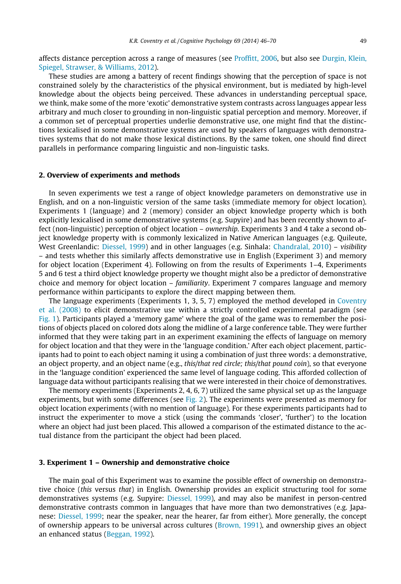affects distance perception across a range of measures (see [Proffitt, 2006](#page-23-0), but also see [Durgin, Klein,](#page-22-0) [Spiegel, Strawser, & Williams, 2012](#page-22-0)).

These studies are among a battery of recent findings showing that the perception of space is not constrained solely by the characteristics of the physical environment, but is mediated by high-level knowledge about the objects being perceived. These advances in understanding perceptual space, we think, make some of the more 'exotic' demonstrative system contrasts across languages appear less arbitrary and much closer to grounding in non-linguistic spatial perception and memory. Moreover, if a common set of perceptual properties underlie demonstrative use, one might find that the distinctions lexicalised in some demonstrative systems are used by speakers of languages with demonstratives systems that do not make those lexical distinctions. By the same token, one should find direct parallels in performance comparing linguistic and non-linguistic tasks.

#### 2. Overview of experiments and methods

In seven experiments we test a range of object knowledge parameters on demonstrative use in English, and on a non-linguistic version of the same tasks (immediate memory for object location). Experiments 1 (language) and 2 (memory) consider an object knowledge property which is both explicitly lexicalised in some demonstrative systems (e.g. Supyire) and has been recently shown to affect (non-linguistic) perception of object location – ownership. Experiments 3 and 4 take a second object knowledge property with is commonly lexicalized in Native American languages (e.g. Quileute, West Greenlandic: [Diessel, 1999\)](#page-22-0) and in other languages (e.g. Sinhala: [Chandralal, 2010\)](#page-22-0) – visibility – and tests whether this similarly affects demonstrative use in English (Experiment 3) and memory for object location (Experiment 4). Following on from the results of Experiments 1–4, Experiments 5 and 6 test a third object knowledge property we thought might also be a predictor of demonstrative choice and memory for object location – familiarity. Experiment 7 compares language and memory performance within participants to explore the direct mapping between them.

The language experiments (Experiments 1, 3, 5, 7) employed the method developed in [Coventry](#page-22-0) [et al. \(2008\)](#page-22-0) to elicit demonstrative use within a strictly controlled experimental paradigm (see [Fig. 1\)](#page-4-0). Participants played a 'memory game' where the goal of the game was to remember the positions of objects placed on colored dots along the midline of a large conference table. They were further informed that they were taking part in an experiment examining the effects of language on memory for object location and that they were in the 'language condition.' After each object placement, participants had to point to each object naming it using a combination of just three words: a demonstrative, an object property, and an object name (e.g., this/that red circle; this/that pound coin), so that everyone in the 'language condition' experienced the same level of language coding. This afforded collection of language data without participants realising that we were interested in their choice of demonstratives.

The memory experiments (Experiments 2, 4, 6, 7) utilized the same physical set up as the language experiments, but with some differences (see [Fig. 2](#page-5-0)). The experiments were presented as memory for object location experiments (with no mention of language). For these experiments participants had to instruct the experimenter to move a stick (using the commands 'closer', 'further') to the location where an object had just been placed. This allowed a comparison of the estimated distance to the actual distance from the participant the object had been placed.

#### 3. Experiment 1 – Ownership and demonstrative choice

The main goal of this Experiment was to examine the possible effect of ownership on demonstrative choice (this versus that) in English. Ownership provides an explicit structuring tool for some demonstratives systems (e.g. Supyire: [Diessel, 1999](#page-22-0)), and may also be manifest in person-centred demonstrative contrasts common in languages that have more than two demonstratives (e.g. Japanese: [Diessel, 1999;](#page-22-0) near the speaker, near the hearer, far from either). More generally, the concept of ownership appears to be universal across cultures [\(Brown, 1991\)](#page-22-0), and ownership gives an object an enhanced status ([Beggan, 1992](#page-22-0)).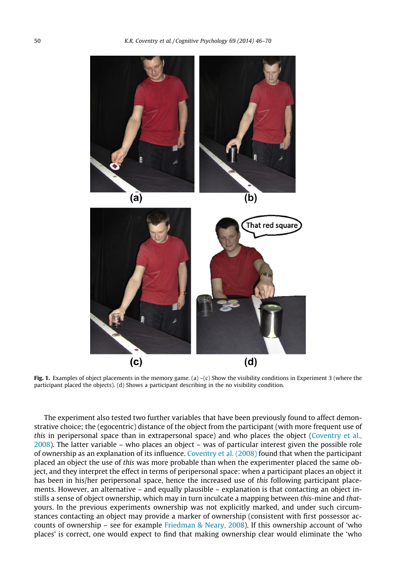<span id="page-4-0"></span>

Fig. 1. Examples of object placements in the memory game. (a)  $-(c)$  Show the visibility conditions in Experiment 3 (where the participant placed the objects). (d) Shows a participant describing in the no visibility condition.

The experiment also tested two further variables that have been previously found to affect demonstrative choice; the (egocentric) distance of the object from the participant (with more frequent use of this in peripersonal space than in extrapersonal space) and who places the object ([Coventry et al.,](#page-22-0) [2008\)](#page-22-0). The latter variable – who places an object – was of particular interest given the possible role of ownership as an explanation of its influence. [Coventry et al. \(2008\)](#page-22-0) found that when the participant placed an object the use of this was more probable than when the experimenter placed the same object, and they interpret the effect in terms of peripersonal space: when a participant places an object it has been in his/her peripersonal space, hence the increased use of this following participant placements. However, an alternative – and equally plausible – explanation is that contacting an object instills a sense of object ownership, which may in turn inculcate a mapping between this-mine and thatyours. In the previous experiments ownership was not explicitly marked, and under such circumstances contacting an object may provide a marker of ownership (consistent with first possessor accounts of ownership – see for example [Friedman & Neary, 2008](#page-23-0)). If this ownership account of 'who places' is correct, one would expect to find that making ownership clear would eliminate the 'who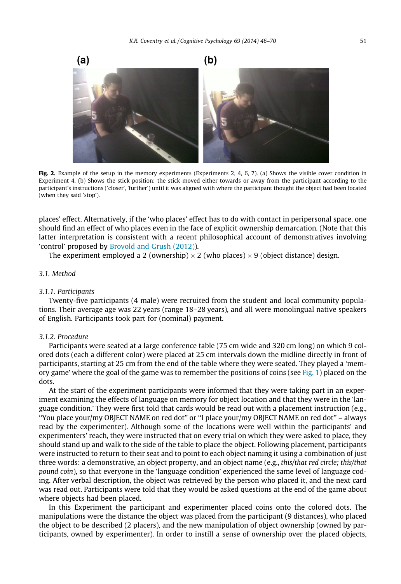<span id="page-5-0"></span>

Fig. 2. Example of the setup in the memory experiments (Experiments 2, 4, 6, 7). (a) Shows the visible cover condition in Experiment 4. (b) Shows the stick position: the stick moved either towards or away from the participant according to the participant's instructions ('closer', 'further') until it was aligned with where the participant thought the object had been located (when they said 'stop').

places' effect. Alternatively, if the 'who places' effect has to do with contact in peripersonal space, one should find an effect of who places even in the face of explicit ownership demarcation. (Note that this latter interpretation is consistent with a recent philosophical account of demonstratives involving 'control' proposed by [Brovold and Grush \(2012\)](#page-22-0)).

The experiment employed a 2 (ownership)  $\times$  2 (who places)  $\times$  9 (object distance) design.

# 3.1. Method

# 3.1.1. Participants

Twenty-five participants (4 male) were recruited from the student and local community populations. Their average age was 22 years (range 18–28 years), and all were monolingual native speakers of English. Participants took part for (nominal) payment.

#### 3.1.2. Procedure

Participants were seated at a large conference table (75 cm wide and 320 cm long) on which 9 colored dots (each a different color) were placed at 25 cm intervals down the midline directly in front of participants, starting at 25 cm from the end of the table where they were seated. They played a 'memory game' where the goal of the game was to remember the positions of coins (see [Fig. 1\)](#page-4-0) placed on the dots.

At the start of the experiment participants were informed that they were taking part in an experiment examining the effects of language on memory for object location and that they were in the 'language condition.' They were first told that cards would be read out with a placement instruction (e.g., ''You place your/my OBJECT NAME on red dot'' or ''I place your/my OBJECT NAME on red dot'' – always read by the experimenter). Although some of the locations were well within the participants' and experimenters' reach, they were instructed that on every trial on which they were asked to place, they should stand up and walk to the side of the table to place the object. Following placement, participants were instructed to return to their seat and to point to each object naming it using a combination of just three words: a demonstrative, an object property, and an object name (e.g., this/that red circle; this/that pound coin), so that everyone in the 'language condition' experienced the same level of language coding. After verbal description, the object was retrieved by the person who placed it, and the next card was read out. Participants were told that they would be asked questions at the end of the game about where objects had been placed.

In this Experiment the participant and experimenter placed coins onto the colored dots. The manipulations were the distance the object was placed from the participant (9 distances), who placed the object to be described (2 placers), and the new manipulation of object ownership (owned by participants, owned by experimenter). In order to instill a sense of ownership over the placed objects,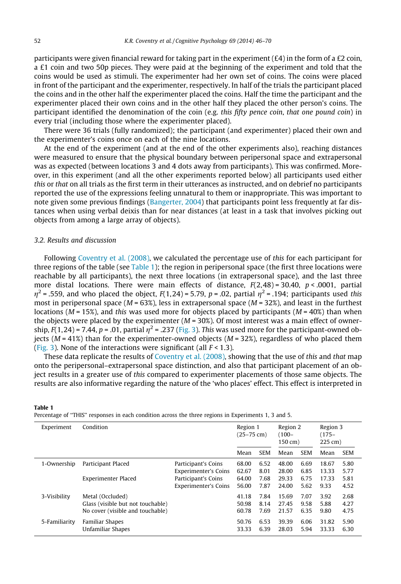<span id="page-6-0"></span>participants were given financial reward for taking part in the experiment  $(E4)$  in the form of a £2 coin, a £1 coin and two 50p pieces. They were paid at the beginning of the experiment and told that the coins would be used as stimuli. The experimenter had her own set of coins. The coins were placed in front of the participant and the experimenter, respectively. In half of the trials the participant placed the coins and in the other half the experimenter placed the coins. Half the time the participant and the experimenter placed their own coins and in the other half they placed the other person's coins. The participant identified the denomination of the coin (e.g. this fifty pence coin, that one pound coin) in every trial (including those where the experimenter placed).

There were 36 trials (fully randomized); the participant (and experimenter) placed their own and the experimenter's coins once on each of the nine locations.

At the end of the experiment (and at the end of the other experiments also), reaching distances were measured to ensure that the physical boundary between peripersonal space and extrapersonal was as expected (between locations 3 and 4 dots away from participants). This was confirmed. Moreover, in this experiment (and all the other experiments reported below) all participants used either this or that on all trials as the first term in their utterances as instructed, and on debrief no participants reported the use of the expressions feeling unnatural to them or inappropriate. This was important to note given some previous findings [\(Bangerter, 2004\)](#page-22-0) that participants point less frequently at far distances when using verbal deixis than for near distances (at least in a task that involves picking out objects from among a large array of objects).

#### 3.2. Results and discussion

Following [Coventry et al. \(2008\)](#page-22-0), we calculated the percentage use of this for each participant for three regions of the table (see Table 1); the region in peripersonal space (the first three locations were reachable by all participants), the next three locations (in extrapersonal space), and the last three more distal locations. There were main effects of distance,  $F(2,48) = 30.40$ ,  $p < .0001$ , partial  $\eta^2$  = .559, and who placed the object,  $F(1,24)$  = 5.79, p = .02, partial  $\eta^2$  = .194; participants used this most in peripersonal space ( $M = 63\%$ ), less in extrapersonal space ( $M = 32\%$ ), and least in the furthest locations ( $M = 15\%$ ), and this was used more for objects placed by participants ( $M = 40\%$ ) than when the objects were placed by the experimenter ( $M = 30\%$ ). Of most interest was a main effect of ownership,  $F(1,24) = 7.44$ ,  $p = .01$ , partial  $\eta^2 = .237$  ([Fig. 3](#page-7-0)). This was used more for the participant-owned objects ( $M = 41\%$ ) than for the experimenter-owned objects ( $M = 32\%$ ), regardless of who placed them ([Fig. 3](#page-7-0)). None of the interactions were significant (all  $F < 1.3$ ).

These data replicate the results of [Coventry et al. \(2008\)](#page-22-0), showing that the use of this and that map onto the peripersonal–extrapersonal space distinction, and also that participant placement of an object results in a greater use of this compared to experimenter placements of those same objects. The results are also informative regarding the nature of the 'who places' effect. This effect is interpreted in

Table 1

Percentage of ''THIS'' responses in each condition across the three regions in Experiments 1, 3 and 5.

| Experiment    | Condition                                                                                 |                                                    |                         | Region 1<br>$(25-75 \text{ cm})$ | Region 2<br>$(100 -$<br>150 cm) |                      | Region 3<br>$(175 -$<br>225 cm) |                      |
|---------------|-------------------------------------------------------------------------------------------|----------------------------------------------------|-------------------------|----------------------------------|---------------------------------|----------------------|---------------------------------|----------------------|
|               |                                                                                           |                                                    | Mean                    | <b>SEM</b>                       | Mean                            | <b>SEM</b>           | Mean                            | <b>SEM</b>           |
| 1-Ownership   | Participant Placed                                                                        | Participant's Coins<br><b>Experimenter's Coins</b> | 68.00<br>62.67          | 6.52<br>8.01                     | 48.00<br>28.00                  | 6.69<br>6.85         | 18.67<br>13.33                  | 5.80<br>5.77         |
|               | <b>Experimenter Placed</b>                                                                | Participant's Coins<br><b>Experimenter's Coins</b> | 64.00<br>56.00          | 7.68<br>7.87                     | 29.33<br>24.00                  | 6.75<br>5.62         | 17.33<br>9.33                   | 5.81<br>4.52         |
| 3-Visibility  | Metal (Occluded)<br>Glass (visible but not touchable)<br>No cover (visible and touchable) |                                                    | 41.18<br>50.98<br>60.78 | 7.84<br>8.14<br>7.69             | 15.69<br>27.45<br>21.57         | 7.07<br>9.58<br>6.35 | 3.92<br>5.88<br>9.80            | 2.68<br>4.27<br>4.75 |
| 5-Familiarity | Familiar Shapes<br>Unfamiliar Shapes                                                      |                                                    | 50.76<br>33.33          | 6.53<br>6.39                     | 39.39<br>28.03                  | 6.06<br>5.94         | 31.82<br>33.33                  | 5.90<br>6.30         |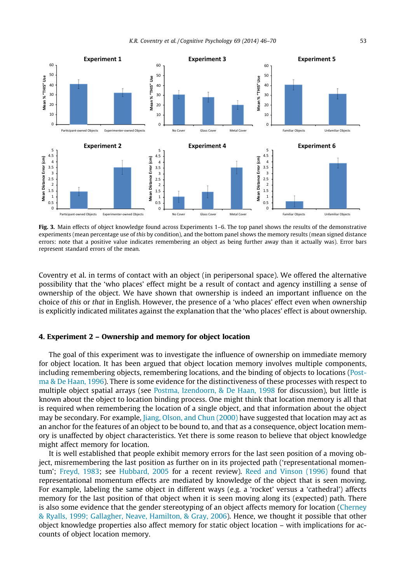<span id="page-7-0"></span>

Fig. 3. Main effects of object knowledge found across Experiments 1–6. The top panel shows the results of the demonstrative experiments (mean percentage use of this by condition), and the bottom panel shows the memory results (mean signed distance errors: note that a positive value indicates remembering an object as being further away than it actually was). Error bars represent standard errors of the mean.

Coventry et al. in terms of contact with an object (in peripersonal space). We offered the alternative possibility that the 'who places' effect might be a result of contact and agency instilling a sense of ownership of the object. We have shown that ownership is indeed an important influence on the choice of this or that in English. However, the presence of a 'who places' effect even when ownership is explicitly indicated militates against the explanation that the 'who places' effect is about ownership.

# 4. Experiment 2 – Ownership and memory for object location

The goal of this experiment was to investigate the influence of ownership on immediate memory for object location. It has been argued that object location memory involves multiple components, including remembering objects, remembering locations, and the binding of objects to locations ([Post](#page-23-0)[ma & De Haan, 1996](#page-23-0)). There is some evidence for the distinctiveness of these processes with respect to multiple object spatial arrays (see [Postma, Izendoorn, & De Haan, 1998](#page-23-0) for discussion), but little is known about the object to location binding process. One might think that location memory is all that is required when remembering the location of a single object, and that information about the object may be secondary. For example, [Jiang, Olson, and Chun \(2000\)](#page-23-0) have suggested that location may act as an anchor for the features of an object to be bound to, and that as a consequence, object location memory is unaffected by object characteristics. Yet there is some reason to believe that object knowledge might affect memory for location.

It is well established that people exhibit memory errors for the last seen position of a moving object, misremembering the last position as further on in its projected path ('representational momentum'; [Freyd, 1983;](#page-23-0) see [Hubbard, 2005](#page-23-0) for a recent review). [Reed and Vinson \(1996\)](#page-23-0) found that representational momentum effects are mediated by knowledge of the object that is seen moving. For example, labeling the same object in different ways (e.g. a 'rocket' versus a 'cathedral') affects memory for the last position of that object when it is seen moving along its (expected) path. There is also some evidence that the gender stereotyping of an object affects memory for location ([Cherney](#page-22-0) [& Ryalls, 1999; Gallagher, Neave, Hamilton, & Gray, 2006\)](#page-22-0). Hence, we thought it possible that other object knowledge properties also affect memory for static object location – with implications for accounts of object location memory.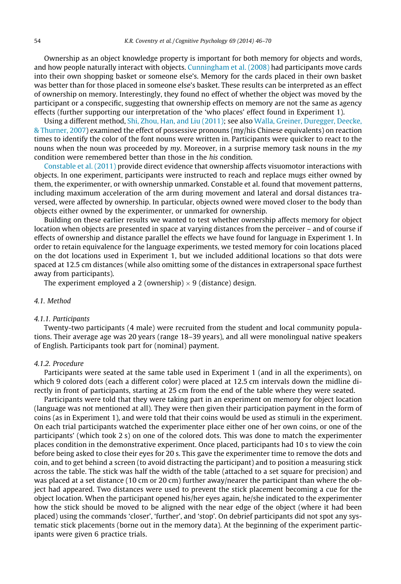Ownership as an object knowledge property is important for both memory for objects and words, and how people naturally interact with objects. [Cunningham et al. \(2008\)](#page-22-0) had participants move cards into their own shopping basket or someone else's. Memory for the cards placed in their own basket was better than for those placed in someone else's basket. These results can be interpreted as an effect of ownership on memory. Interestingly, they found no effect of whether the object was moved by the participant or a conspecific, suggesting that ownership effects on memory are not the same as agency effects (further supporting our interpretation of the 'who places' effect found in Experiment 1).

Using a different method, [Shi, Zhou, Han, and Liu \(2011\);](#page-23-0) see also [Walla, Greiner, Duregger, Deecke,](#page-24-0) [& Thurner, 2007](#page-24-0)) examined the effect of possessive pronouns (my/his Chinese equivalents) on reaction times to identify the color of the font nouns were written in. Participants were quicker to react to the nouns when the noun was proceeded by  $m\gamma$ . Moreover, in a surprise memory task nouns in the  $m\gamma$ condition were remembered better than those in the his condition.

[Constable et al. \(2011\)](#page-22-0) provide direct evidence that ownership affects visuomotor interactions with objects. In one experiment, participants were instructed to reach and replace mugs either owned by them, the experimenter, or with ownership unmarked. Constable et al. found that movement patterns, including maximum acceleration of the arm during movement and lateral and dorsal distances traversed, were affected by ownership. In particular, objects owned were moved closer to the body than objects either owned by the experimenter, or unmarked for ownership.

Building on these earlier results we wanted to test whether ownership affects memory for object location when objects are presented in space at varying distances from the perceiver – and of course if effects of ownership and distance parallel the effects we have found for language in Experiment 1. In order to retain equivalence for the language experiments, we tested memory for coin locations placed on the dot locations used in Experiment 1, but we included additional locations so that dots were spaced at 12.5 cm distances (while also omitting some of the distances in extrapersonal space furthest away from participants).

The experiment employed a 2 (ownership)  $\times$  9 (distance) design.

#### 4.1. Method

#### 4.1.1. Participants

Twenty-two participants (4 male) were recruited from the student and local community populations. Their average age was 20 years (range 18–39 years), and all were monolingual native speakers of English. Participants took part for (nominal) payment.

#### 4.1.2. Procedure

Participants were seated at the same table used in Experiment 1 (and in all the experiments), on which 9 colored dots (each a different color) were placed at 12.5 cm intervals down the midline directly in front of participants, starting at 25 cm from the end of the table where they were seated.

Participants were told that they were taking part in an experiment on memory for object location (language was not mentioned at all). They were then given their participation payment in the form of coins (as in Experiment 1), and were told that their coins would be used as stimuli in the experiment. On each trial participants watched the experimenter place either one of her own coins, or one of the participants' (which took 2 s) on one of the colored dots. This was done to match the experimenter places condition in the demonstrative experiment. Once placed, participants had 10 s to view the coin before being asked to close their eyes for 20 s. This gave the experimenter time to remove the dots and coin, and to get behind a screen (to avoid distracting the participant) and to position a measuring stick across the table. The stick was half the width of the table (attached to a set square for precision) and was placed at a set distance (10 cm or 20 cm) further away/nearer the participant than where the object had appeared. Two distances were used to prevent the stick placement becoming a cue for the object location. When the participant opened his/her eyes again, he/she indicated to the experimenter how the stick should be moved to be aligned with the near edge of the object (where it had been placed) using the commands 'closer', 'further', and 'stop'. On debrief participants did not spot any systematic stick placements (borne out in the memory data). At the beginning of the experiment participants were given 6 practice trials.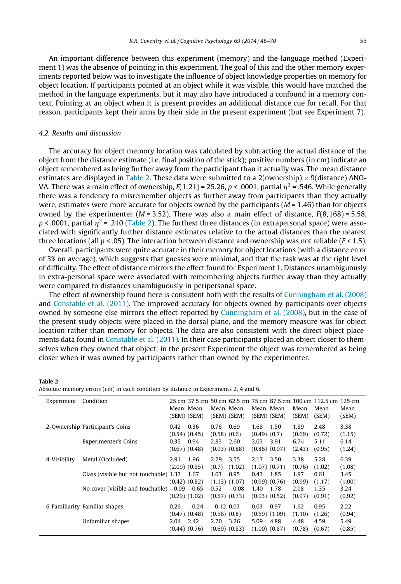<span id="page-9-0"></span>An important difference between this experiment (memory) and the language method (Experiment 1) was the absence of pointing in this experiment. The goal of this and the other memory experiments reported below was to investigate the influence of object knowledge properties on memory for object location. If participants pointed at an object while it was visible, this would have matched the method in the language experiments, but it may also have introduced a confound in a memory context. Pointing at an object when it is present provides an additional distance cue for recall. For that reason, participants kept their arms by their side in the present experiment (but see Experiment 7).

# 4.2. Results and discussion

The accuracy for object memory location was calculated by subtracting the actual distance of the object from the distance estimate (i.e. final position of the stick); positive numbers (in cm) indicate an object remembered as being further away from the participant than it actually was. The mean distance estimates are displayed in Table 2. These data were submitted to a 2(ownership)  $\times$  9(distance) ANO-VA. There was a main effect of ownership,  $F(1,21) = 25.26$ ,  $p < .0001$ , partial  $\eta^2 = .546$ . While generally there was a tendency to misremember objects as further away from participants than they actually were, estimates were more accurate for objects owned by the participants  $(M = 1.46)$  than for objects owned by the experimenter  $(M = 3.52)$ . There was also a main effect of distance,  $F(8,168) = 5.58$ ,  $p < .0001$ , partial  $\eta^2 = .210$  (Table 2). The furthest three distances (in extrapersonal space) were associated with significantly further distance estimates relative to the actual distances than the nearest three locations (all  $p < .05$ ). The interaction between distance and ownership was not reliable ( $F < 1.5$ ).

Overall, participants were quite accurate in their memory for object locations (with a distance error of 3% on average), which suggests that guesses were minimal, and that the task was at the right level of difficulty. The effect of distance mirrors the effect found for Experiment 1. Distances unambiguously in extra-personal space were associated with remembering objects further away than they actually were compared to distances unambiguously in peripersonal space.

The effect of ownership found here is consistent both with the results of [Cunningham et al. \(2008\)](#page-22-0) and [Constable et al. \(2011\)](#page-22-0). The improved accuracy for objects owned by participants over objects owned by someone else mirrors the effect reported by [Cunningham et al. \(2008\),](#page-22-0) but in the case of the present study objects were placed in the dorsal plane, and the memory measure was for object location rather than memory for objects. The data are also consistent with the direct object placements data found in [Constable et al. \(2011\).](#page-22-0) In their case participants placed an object closer to themselves when they owned that object; in the present Experiment the object was remembered as being closer when it was owned by participants rather than owned by the experimenter.

#### Table 2

|  | Absolute memory errors (cm) in each condition by distance in Experiments 2, 4 and 6. |  |  |  |  |  |  |  |  |  |  |  |  |
|--|--------------------------------------------------------------------------------------|--|--|--|--|--|--|--|--|--|--|--|--|
|--|--------------------------------------------------------------------------------------|--|--|--|--|--|--|--|--|--|--|--|--|

| Experiment   | Condition                                        | Mean Mean | (SEM) (SEM)                  | Mean Mean                        | (SEM) (SEM)                  | Mean Mean                 | (SEM) (SEM)               | Mean<br>(SEM)  | 25 cm 37.5 cm 50 cm 62.5 cm 75 cm 87.5 cm 100 cm 112.5 cm 125 cm<br>Mean<br>(SEM) | Mean<br>(SEM)  |
|--------------|--------------------------------------------------|-----------|------------------------------|----------------------------------|------------------------------|---------------------------|---------------------------|----------------|-----------------------------------------------------------------------------------|----------------|
|              | 2-Ownership Participant's Coins                  | 0.42      | 0.36<br>$(0.54)$ $(0.45)$    | 0.76<br>$(0.58)$ $(0.6)$         | 0.69                         | 1.68<br>$(0.49)$ $(0.7)$  | 1.50                      | 1.89<br>(0.69) | 2.48<br>(0.72)                                                                    | 3.38<br>(1.15) |
|              | Experimenter's Coins                             | 0.35      | 0.94<br>$(0.67)$ $(0.48)$    | 2.83                             | 2.60<br>$(0.93)$ $(0.88)$    | 3.03                      | 3.91<br>$(0.86)$ $(0.97)$ | 6.74<br>(2.43) | 5.11<br>(0.95)                                                                    | 6.14<br>(1.24) |
| 4-Visibility | Metal (Occluded)                                 | 2.91      | 1.96<br>$(2.09)$ $(0.55)$    | 2.79<br>(0.7)                    | 3.55<br>(1.02)               | 2.17                      | 3.50<br>$(1.07)$ $(0.71)$ | 3.38<br>(0.76) | 5.28<br>(1.02)                                                                    | 6.39<br>(1.08) |
|              | Glass (visible but not touchable) 1.37           |           | 1.67<br>$(0.42)$ $(0.82)$    | 1.03<br>$(1.13)$ $(1.07)$        | 0.95                         | 0.43                      | 1.85<br>$(0.99)$ $(0.76)$ | 1.97<br>(0.99) | 0.61<br>(1.17)                                                                    | 3.45<br>(1.00) |
|              | No cover (visible and touchable) $-0.09$ $-0.65$ |           | $(0.29)$ $(1.02)$            | 0.52                             | $-0.08$<br>$(0.57)$ $(0.73)$ | 1.40                      | 1.78<br>$(0.93)$ $(0.52)$ | 2.08<br>(0.97) | 1.35<br>(0.91)                                                                    | 3.24<br>(0.92) |
|              | 6-Familiarity Familiar shapes                    | 0.26      | $-0.24$<br>$(0.47)$ $(0.48)$ | $-0.12$ 0.03<br>$(0.56)$ $(0.8)$ |                              | 0.03<br>$(0.59)$ $(1.09)$ | 0.97                      | 1.62<br>(1.10) | 0.95<br>(1.26)                                                                    | 2.22<br>(0.94) |
|              | Unfamiliar shapes                                | 2.04      | 2.42<br>$(0.44)$ $(0.76)$    | 2.70                             | 3.26<br>$(0.69)$ $(0.83)$    | 5.09                      | 4.88<br>$(1.00)$ $(0.87)$ | 4.48<br>(0.78) | 4.59<br>(0.67)                                                                    | 5.49<br>(0.85) |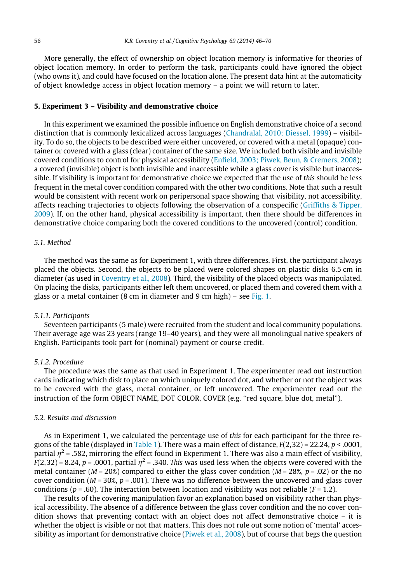More generally, the effect of ownership on object location memory is informative for theories of object location memory. In order to perform the task, participants could have ignored the object (who owns it), and could have focused on the location alone. The present data hint at the automaticity of object knowledge access in object location memory – a point we will return to later.

# 5. Experiment 3 – Visibility and demonstrative choice

In this experiment we examined the possible influence on English demonstrative choice of a second distinction that is commonly lexicalized across languages ([Chandralal, 2010; Diessel, 1999](#page-22-0)) – visibility. To do so, the objects to be described were either uncovered, or covered with a metal (opaque) container or covered with a glass (clear) container of the same size. We included both visible and invisible covered conditions to control for physical accessibility ([Enfield, 2003; Piwek, Beun, & Cremers, 2008\)](#page-22-0); a covered (invisible) object is both invisible and inaccessible while a glass cover is visible but inaccessible. If visibility is important for demonstrative choice we expected that the use of this should be less frequent in the metal cover condition compared with the other two conditions. Note that such a result would be consistent with recent work on peripersonal space showing that visibility, not accessibility, affects reaching trajectories to objects following the observation of a conspecific ([Griffiths & Tipper,](#page-23-0) [2009\)](#page-23-0). If, on the other hand, physical accessibility is important, then there should be differences in demonstrative choice comparing both the covered conditions to the uncovered (control) condition.

# 5.1. Method

The method was the same as for Experiment 1, with three differences. First, the participant always placed the objects. Second, the objects to be placed were colored shapes on plastic disks 6.5 cm in diameter (as used in [Coventry et al., 2008\)](#page-22-0). Third, the visibility of the placed objects was manipulated. On placing the disks, participants either left them uncovered, or placed them and covered them with a glass or a metal container (8 cm in diameter and 9 cm high) – see [Fig. 1](#page-4-0).

# 5.1.1. Participants

Seventeen participants (5 male) were recruited from the student and local community populations. Their average age was 23 years (range 19–40 years), and they were all monolingual native speakers of English. Participants took part for (nominal) payment or course credit.

#### 5.1.2. Procedure

The procedure was the same as that used in Experiment 1. The experimenter read out instruction cards indicating which disk to place on which uniquely colored dot, and whether or not the object was to be covered with the glass, metal container, or left uncovered. The experimenter read out the instruction of the form OBJECT NAME, DOT COLOR, COVER (e.g. ''red square, blue dot, metal'').

# 5.2. Results and discussion

As in Experiment 1, we calculated the percentage use of this for each participant for the three re-gions of the table (displayed in [Table 1](#page-6-0)). There was a main effect of distance,  $F(2,32) = 22.24$ ,  $p < .0001$ , partial  $\eta^2$  = .582, mirroring the effect found in Experiment 1. There was also a main effect of visibility,  $F(2,32) = 8.24$ , p = .0001, partial  $\eta^2$  = .340. This was used less when the objects were covered with the metal container ( $M = 20\%$ ) compared to either the glass cover condition ( $M = 28\%$ ,  $p = .02$ ) or the no cover condition ( $M = 30\%$ ,  $p = .001$ ). There was no difference between the uncovered and glass cover conditions ( $p = .60$ ). The interaction between location and visibility was not reliable ( $F = 1.2$ ).

The results of the covering manipulation favor an explanation based on visibility rather than physical accessibility. The absence of a difference between the glass cover condition and the no cover condition shows that preventing contact with an object does not affect demonstrative choice – it is whether the object is visible or not that matters. This does not rule out some notion of 'mental' accessibility as important for demonstrative choice [\(Piwek et al., 2008\)](#page-23-0), but of course that begs the question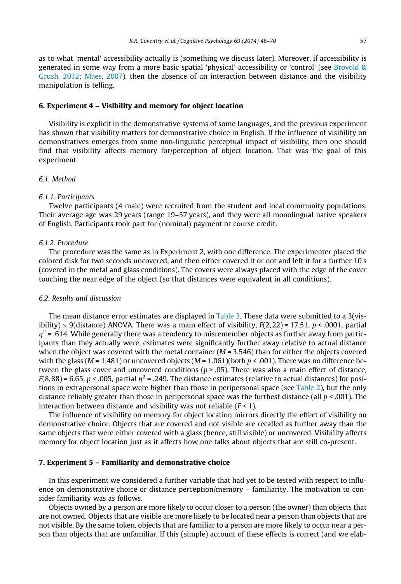as to what 'mental' accessibility actually is (something we discuss later). Moreover, if accessibility is generated in some way from a more basic spatial 'physical' accessibility or 'control' (see [Brovold &](#page-22-0) [Grush, 2012; Maes, 2007](#page-22-0)), then the absence of an interaction between distance and the visibility manipulation is telling.

# 6. Experiment 4 – Visibility and memory for object location

Visibility is explicit in the demonstrative systems of some languages, and the previous experiment has shown that visibility matters for demonstrative choice in English. If the influence of visibility on demonstratives emerges from some non-linguistic perceptual impact of visibility, then one should find that visibility affects memory for/perception of object location. That was the goal of this experiment.

# 6.1. Method

#### 6.1.1. Participants

Twelve participants (4 male) were recruited from the student and local community populations. Their average age was 29 years (range 19–57 years), and they were all monolingual native speakers of English. Participants took part for (nominal) payment or course credit.

# 6.1.2. Procedure

The procedure was the same as in Experiment 2, with one difference. The experimenter placed the colored disk for two seconds uncovered, and then either covered it or not and left it for a further 10 s (covered in the metal and glass conditions). The covers were always placed with the edge of the cover touching the near edge of the object (so that distances were equivalent in all conditions).

#### 6.2. Results and discussion

The mean distance error estimates are displayed in [Table 2](#page-9-0). These data were submitted to a 3(visibility)  $\times$  9(distance) ANOVA. There was a main effect of visibility, F(2,22) = 17.51, p < .0001, partial  $\eta^2$  = .614. While generally there was a tendency to misremember objects as further away from participants than they actually were, estimates were significantly further away relative to actual distance when the object was covered with the metal container  $(M = 3.546)$  than for either the objects covered with the glass ( $M = 1.481$ ) or uncovered objects ( $M = 1.061$ )(both  $p < .001$ ). There was no difference between the glass cover and uncovered conditions  $(p > .05)$ . There was also a main effect of distance,  $F(8,88) = 6.65$ , p < .005, partial  $\eta^2 = 0.249$ . The distance estimates (relative to actual distances) for posi-tions in extrapersonal space were higher than those in peripersonal space (see [Table 2\)](#page-9-0), but the only distance reliably greater than those in peripersonal space was the furthest distance (all  $p < .001$ ). The interaction between distance and visibility was not reliable  $(F < 1)$ .

The influence of visibility on memory for object location mirrors directly the effect of visibility on demonstrative choice. Objects that are covered and not visible are recalled as further away than the same objects that were either covered with a glass (hence, still visible) or uncovered. Visibility affects memory for object location just as it affects how one talks about objects that are still co-present.

# 7. Experiment 5 – Familiarity and demonstrative choice

In this experiment we considered a further variable that had yet to be tested with respect to influence on demonstrative choice or distance perception/memory – familiarity. The motivation to consider familiarity was as follows.

Objects owned by a person are more likely to occur closer to a person (the owner) than objects that are not owned. Objects that are visible are more likely to be located near a person than objects that are not visible. By the same token, objects that are familiar to a person are more likely to occur near a person than objects that are unfamiliar. If this (simple) account of these effects is correct (and we elab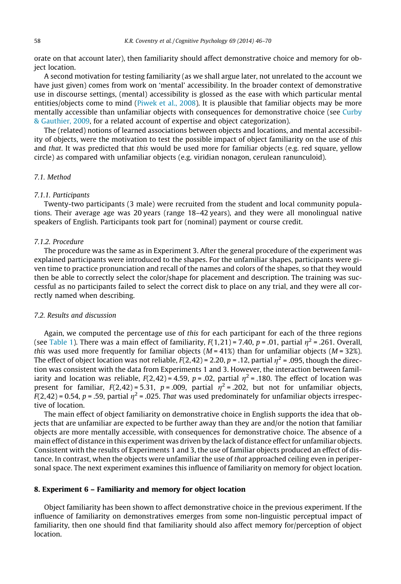orate on that account later), then familiarity should affect demonstrative choice and memory for object location.

A second motivation for testing familiarity (as we shall argue later, not unrelated to the account we have just given) comes from work on 'mental' accessibility. In the broader context of demonstrative use in discourse settings, (mental) accessibility is glossed as the ease with which particular mental entities/objects come to mind [\(Piwek et al., 2008\)](#page-23-0). It is plausible that familiar objects may be more mentally accessible than unfamiliar objects with consequences for demonstrative choice (see [Curby](#page-22-0) [& Gauthier, 2009,](#page-22-0) for a related account of expertise and object categorization).

The (related) notions of learned associations between objects and locations, and mental accessibility of objects, were the motivation to test the possible impact of object familiarity on the use of this and that. It was predicted that this would be used more for familiar objects (e.g. red square, yellow circle) as compared with unfamiliar objects (e.g. viridian nonagon, cerulean ranunculoid).

#### 7.1. Method

#### 7.1.1. Participants

Twenty-two participants (3 male) were recruited from the student and local community populations. Their average age was 20 years (range 18–42 years), and they were all monolingual native speakers of English. Participants took part for (nominal) payment or course credit.

# 7.1.2. Procedure

The procedure was the same as in Experiment 3. After the general procedure of the experiment was explained participants were introduced to the shapes. For the unfamiliar shapes, participants were given time to practice pronunciation and recall of the names and colors of the shapes, so that they would then be able to correctly select the color/shape for placement and description. The training was successful as no participants failed to select the correct disk to place on any trial, and they were all correctly named when describing.

#### 7.2. Results and discussion

Again, we computed the percentage use of this for each participant for each of the three regions (see [Table 1\)](#page-6-0). There was a main effect of familiarity,  $F(1,21) = 7.40$ ,  $p = .01$ , partial  $\eta^2 = .261$ . Overall, this was used more frequently for familiar objects ( $M = 41\%$ ) than for unfamiliar objects ( $M = 32\%$ ). The effect of object location was not reliable,  $F(2,42) = 2.20$ ,  $p = .12$ , partial  $\eta^2 = .095$ , though the direction was consistent with the data from Experiments 1 and 3. However, the interaction between familiarity and location was reliable,  $F(2,42) = 4.59$ ,  $p = .02$ , partial  $\eta^2 = .180$ . The effect of location was present for familiar,  $F(2,42) = 5.31$ ,  $p = .009$ , partial  $n^2 = .202$ , but not for unfamiliar objects,  $F(2,42) = 0.54$ , p = .59, partial  $\eta^2$  = .025. That was used predominately for unfamiliar objects irrespective of location.

The main effect of object familiarity on demonstrative choice in English supports the idea that objects that are unfamiliar are expected to be further away than they are and/or the notion that familiar objects are more mentally accessible, with consequences for demonstrative choice. The absence of a main effect of distance in this experiment was driven by the lack of distance effect for unfamiliar objects. Consistent with the results of Experiments 1 and 3, the use of familiar objects produced an effect of distance. In contrast, when the objects were unfamiliar the use of that approached ceiling even in peripersonal space. The next experiment examines this influence of familiarity on memory for object location.

#### 8. Experiment 6 – Familiarity and memory for object location

Object familiarity has been shown to affect demonstrative choice in the previous experiment. If the influence of familiarity on demonstratives emerges from some non-linguistic perceptual impact of familiarity, then one should find that familiarity should also affect memory for/perception of object location.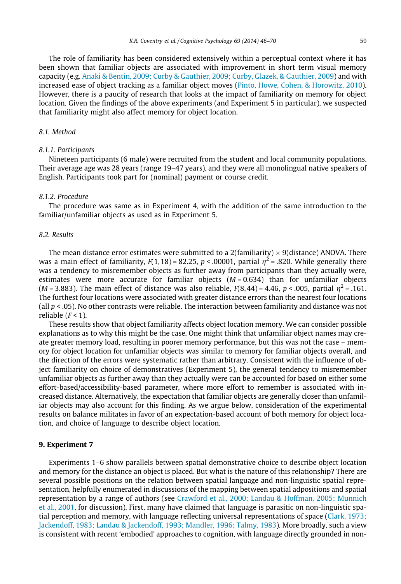The role of familiarity has been considered extensively within a perceptual context where it has been shown that familiar objects are associated with improvement in short term visual memory capacity (e.g. [Anaki & Bentin, 2009; Curby & Gauthier, 2009; Curby, Glazek, & Gauthier, 2009\)](#page-21-0) and with increased ease of object tracking as a familiar object moves [\(Pinto, Howe, Cohen, & Horowitz, 2010\)](#page-23-0). However, there is a paucity of research that looks at the impact of familiarity on memory for object location. Given the findings of the above experiments (and Experiment 5 in particular), we suspected that familiarity might also affect memory for object location.

# 8.1. Method

# 8.1.1. Participants

Nineteen participants (6 male) were recruited from the student and local community populations. Their average age was 28 years (range 19–47 years), and they were all monolingual native speakers of English. Participants took part for (nominal) payment or course credit.

## 8.1.2. Procedure

The procedure was same as in Experiment 4, with the addition of the same introduction to the familiar/unfamiliar objects as used as in Experiment 5.

#### 8.2. Results

The mean distance error estimates were submitted to a 2(familiarity)  $\times$  9(distance) ANOVA. There was a main effect of familiarity,  $F(1,18) = 82.25$ , p < .00001, partial  $\eta^2 = .820$ . While generally there was a tendency to misremember objects as further away from participants than they actually were, estimates were more accurate for familiar objects  $(M = 0.634)$  than for unfamiliar objects (*M* = 3.883). The main effect of distance was also reliable,  $F(8,44) = 4.46$ ,  $p < .005$ , partial  $\eta^2 = .161$ . The furthest four locations were associated with greater distance errors than the nearest four locations (all  $p < .05$ ). No other contrasts were reliable. The interaction between familiarity and distance was not reliable  $(F < 1)$ .

These results show that object familiarity affects object location memory. We can consider possible explanations as to why this might be the case. One might think that unfamiliar object names may create greater memory load, resulting in poorer memory performance, but this was not the case – memory for object location for unfamiliar objects was similar to memory for familiar objects overall, and the direction of the errors were systematic rather than arbitrary. Consistent with the influence of object familiarity on choice of demonstratives (Experiment 5), the general tendency to misremember unfamiliar objects as further away than they actually were can be accounted for based on either some effort-based/accessibility-based parameter, where more effort to remember is associated with increased distance. Alternatively, the expectation that familiar objects are generally closer than unfamiliar objects may also account for this finding. As we argue below, consideration of the experimental results on balance militates in favor of an expectation-based account of both memory for object location, and choice of language to describe object location.

# 9. Experiment 7

Experiments 1–6 show parallels between spatial demonstrative choice to describe object location and memory for the distance an object is placed. But what is the nature of this relationship? There are several possible positions on the relation between spatial language and non-linguistic spatial representation, helpfully enumerated in discussions of the mapping between spatial adpositions and spatial representation by a range of authors (see [Crawford et al., 2000; Landau & Hoffman, 2005; Munnich](#page-22-0) [et al., 2001,](#page-22-0) for discussion). First, many have claimed that language is parasitic on non-linguistic spatial perception and memory, with language reflecting universal representations of space [\(Clark, 1973;](#page-22-0) [Jackendoff, 1983; Landau & Jackendoff, 1993; Mandler, 1996; Talmy, 1983\)](#page-22-0). More broadly, such a view is consistent with recent 'embodied' approaches to cognition, with language directly grounded in non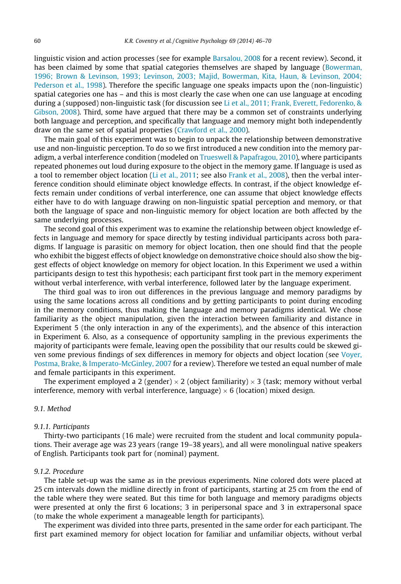linguistic vision and action processes (see for example [Barsalou, 2008](#page-22-0) for a recent review). Second, it has been claimed by some that spatial categories themselves are shaped by language ([Bowerman,](#page-22-0) [1996; Brown & Levinson, 1993; Levinson, 2003; Majid, Bowerman, Kita, Haun, & Levinson, 2004;](#page-22-0) [Pederson et al., 1998\)](#page-22-0). Therefore the specific language one speaks impacts upon the (non-linguistic) spatial categories one has – and this is most clearly the case when one can use language at encoding during a (supposed) non-linguistic task (for discussion see [Li et al., 2011; Frank, Everett, Fedorenko, &](#page-23-0) [Gibson, 2008\)](#page-23-0). Third, some have argued that there may be a common set of constraints underlying both language and perception, and specifically that language and memory might both independently draw on the same set of spatial properties ([Crawford et al., 2000\)](#page-22-0).

The main goal of this experiment was to begin to unpack the relationship between demonstrative use and non-linguistic perception. To do so we first introduced a new condition into the memory paradigm, a verbal interference condition (modeled on [Trueswell & Papafragou, 2010\)](#page-24-0), where participants repeated phonemes out loud during exposure to the object in the memory game. If language is used as a tool to remember object location ([Li et al., 2011](#page-23-0); see also [Frank et al., 2008\)](#page-23-0), then the verbal interference condition should eliminate object knowledge effects. In contrast, if the object knowledge effects remain under conditions of verbal interference, one can assume that object knowledge effects either have to do with language drawing on non-linguistic spatial perception and memory, or that both the language of space and non-linguistic memory for object location are both affected by the same underlying processes.

The second goal of this experiment was to examine the relationship between object knowledge effects in language and memory for space directly by testing individual participants across both paradigms. If language is parasitic on memory for object location, then one should find that the people who exhibit the biggest effects of object knowledge on demonstrative choice should also show the biggest effects of object knowledge on memory for object location. In this Experiment we used a within participants design to test this hypothesis; each participant first took part in the memory experiment without verbal interference, with verbal interference, followed later by the language experiment.

The third goal was to iron out differences in the previous language and memory paradigms by using the same locations across all conditions and by getting participants to point during encoding in the memory conditions, thus making the language and memory paradigms identical. We chose familiarity as the object manipulation, given the interaction between familiarity and distance in Experiment 5 (the only interaction in any of the experiments), and the absence of this interaction in Experiment 6. Also, as a consequence of opportunity sampling in the previous experiments the majority of participants were female, leaving open the possibility that our results could be skewed given some previous findings of sex differences in memory for objects and object location (see [Voyer,](#page-24-0) [Postma, Brake, & Imperato-McGinley, 2007](#page-24-0) for a review). Therefore we tested an equal number of male and female participants in this experiment.

The experiment employed a 2 (gender)  $\times$  2 (object familiarity)  $\times$  3 (task; memory without verbal interference, memory with verbal interference, language)  $\times$  6 (location) mixed design.

# 9.1. Method

#### 9.1.1. Participants

Thirty-two participants (16 male) were recruited from the student and local community populations. Their average age was 23 years (range 19–38 years), and all were monolingual native speakers of English. Participants took part for (nominal) payment.

# 9.1.2. Procedure

The table set-up was the same as in the previous experiments. Nine colored dots were placed at 25 cm intervals down the midline directly in front of participants, starting at 25 cm from the end of the table where they were seated. But this time for both language and memory paradigms objects were presented at only the first 6 locations; 3 in peripersonal space and 3 in extrapersonal space (to make the whole experiment a manageable length for participants).

The experiment was divided into three parts, presented in the same order for each participant. The first part examined memory for object location for familiar and unfamiliar objects, without verbal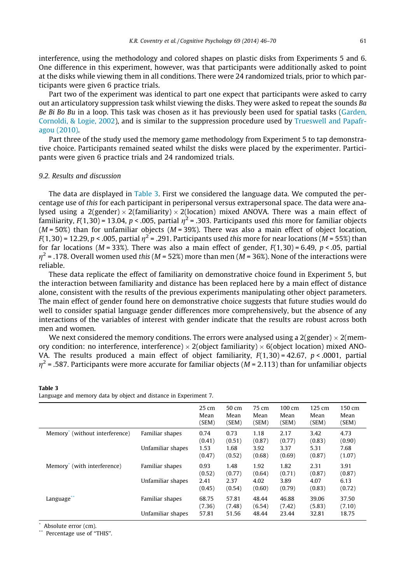interference, using the methodology and colored shapes on plastic disks from Experiments 5 and 6. One difference in this experiment, however, was that participants were additionally asked to point at the disks while viewing them in all conditions. There were 24 randomized trials, prior to which participants were given 6 practice trials.

Part two of the experiment was identical to part one expect that participants were asked to carry out an articulatory suppression task whilst viewing the disks. They were asked to repeat the sounds Ba Be Bi Bo Bu in a loop. This task was chosen as it has previously been used for spatial tasks ([Garden,](#page-23-0) [Cornoldi, & Logie, 2002](#page-23-0)), and is similar to the suppression procedure used by [Trueswell and Papafr](#page-24-0)[agou \(2010\)](#page-24-0).

Part three of the study used the memory game methodology from Experiment 5 to tap demonstrative choice. Participants remained seated whilst the disks were placed by the experimenter. Participants were given 6 practice trials and 24 randomized trials.

# 9.2. Results and discussion

The data are displayed in Table 3. First we considered the language data. We computed the percentage use of this for each participant in peripersonal versus extrapersonal space. The data were analysed using a 2(gender) $\times$  2(familiarity) $\times$  2(location) mixed ANOVA. There was a main effect of familiarity,  $F(1,30) = 13.04$ ,  $p < .005$ , partial  $n^2 = .303$ . Participants used this more for familiar objects  $(M = 50\%)$  than for unfamiliar objects  $(M = 39\%)$ . There was also a main effect of object location,  $F(1,30)$  = 12.29, p < .005, partial  $\eta^2$  = .291. Participants used this more for near locations (M = 55%) than for far locations ( $M = 33\%$ ). There was also a main effect of gender,  $F(1,30) = 6.49$ ,  $p < .05$ , partial  $\eta^2$  = .178. Overall women used this (M = 52%) more than men (M = 36%). None of the interactions were reliable.

These data replicate the effect of familiarity on demonstrative choice found in Experiment 5, but the interaction between familiarity and distance has been replaced here by a main effect of distance alone, consistent with the results of the previous experiments manipulating other object parameters. The main effect of gender found here on demonstrative choice suggests that future studies would do well to consider spatial language gender differences more comprehensively, but the absence of any interactions of the variables of interest with gender indicate that the results are robust across both men and women.

We next considered the memory conditions. The errors were analysed using a 2(gender)  $\times$  2(memory condition: no interference, interference)  $\times$  2(object familiarity)  $\times$  6(object location) mixed ANO-VA. The results produced a main effect of object familiarity,  $F(1,30) = 42.67$ ,  $p < .0001$ , partial  $\eta^2$  = .587. Participants were more accurate for familiar objects (*M* = 2.113) than for unfamiliar objects

|                                         |                                      | $25 \text{ cm}$<br>Mean<br>(SEM) | 50 cm<br>Mean<br>(SEM)           | 75 cm<br>Mean<br>(SEM)           | 100 cm<br>Mean<br>(SEM)          | $125 \text{ cm}$<br>Mean<br>(SEM) | 150 cm<br>Mean<br>(SEM)          |
|-----------------------------------------|--------------------------------------|----------------------------------|----------------------------------|----------------------------------|----------------------------------|-----------------------------------|----------------------------------|
| Memory (without interference)           | Familiar shapes<br>Unfamiliar shapes | 0.74<br>(0.41)<br>1.53<br>(0.47) | 0.73<br>(0.51)<br>1.68<br>(0.52) | 1.18<br>(0.87)<br>3.92<br>(0.68) | 2.17<br>(0.77)<br>3.37<br>(0.69) | 3.42<br>(0.83)<br>5.31<br>(0.87)  | 4.73<br>(0.90)<br>7.68<br>(1.07) |
| Memory <sup>*</sup> (with interference) | Familiar shapes<br>Unfamiliar shapes | 0.93<br>(0.52)<br>2.41<br>(0.45) | 1.48<br>(0.77)<br>2.37<br>(0.54) | 1.92<br>(0.64)<br>4.02<br>(0.60) | 1.82<br>(0.71)<br>3.89<br>(0.79) | 2.31<br>(0.87)<br>4.07<br>(0.83)  | 3.91<br>(0.87)<br>6.13<br>(0.72) |
| Language                                | Familiar shapes<br>Unfamiliar shapes | 68.75<br>(7.36)<br>57.81         | 57.81<br>(7.48)<br>51.56         | 48.44<br>(6.54)<br>48.44         | 46.88<br>(7.42)<br>23.44         | 39.06<br>(5.83)<br>32.81          | 37.50<br>(7.10)<br>18.75         |

#### Table 3

Language and memory data by object and distance in Experiment 7.

\* Absolute error (cm).

\*\* Percentage use of ''THIS''.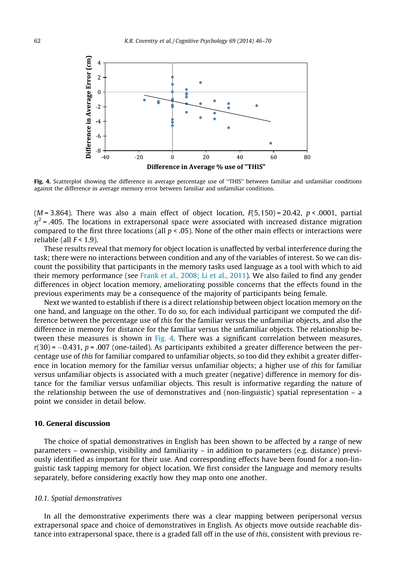

Fig. 4. Scatterplot showing the difference in average percentage use of "THIS" between familiar and unfamiliar conditions against the difference in average memory error between familiar and unfamiliar conditions.

 $(M = 3.864)$ . There was also a main effect of object location,  $F(5,150) = 20.42$ ,  $p < .0001$ , partial  $\eta^2$  = .405. The locations in extrapersonal space were associated with increased distance migration compared to the first three locations (all  $p < .05$ ). None of the other main effects or interactions were reliable (all  $F < 1.9$ ).

These results reveal that memory for object location is unaffected by verbal interference during the task; there were no interactions between condition and any of the variables of interest. So we can discount the possibility that participants in the memory tasks used language as a tool with which to aid their memory performance (see [Frank et al., 2008; Li et al., 2011](#page-23-0)). We also failed to find any gender differences in object location memory, ameliorating possible concerns that the effects found in the previous experiments may be a consequence of the majority of participants being female.

Next we wanted to establish if there is a direct relationship between object location memory on the one hand, and language on the other. To do so, for each individual participant we computed the difference between the percentage use of this for the familiar versus the unfamiliar objects, and also the difference in memory for distance for the familiar versus the unfamiliar objects. The relationship between these measures is shown in Fig. 4. There was a significant correlation between measures,  $r(30) = -0.431$ ,  $p = .007$  (one-tailed). As participants exhibited a greater difference between the percentage use of this for familiar compared to unfamiliar objects, so too did they exhibit a greater difference in location memory for the familiar versus unfamiliar objects; a higher use of this for familiar versus unfamiliar objects is associated with a much greater (negative) difference in memory for distance for the familiar versus unfamiliar objects. This result is informative regarding the nature of the relationship between the use of demonstratives and (non-linguistic) spatial representation – a point we consider in detail below.

# 10. General discussion

The choice of spatial demonstratives in English has been shown to be affected by a range of new parameters – ownership, visibility and familiarity – in addition to parameters (e.g. distance) previously identified as important for their use. And corresponding effects have been found for a non-linguistic task tapping memory for object location. We first consider the language and memory results separately, before considering exactly how they map onto one another.

#### 10.1. Spatial demonstratives

In all the demonstrative experiments there was a clear mapping between peripersonal versus extrapersonal space and choice of demonstratives in English. As objects move outside reachable distance into extrapersonal space, there is a graded fall off in the use of this, consistent with previous re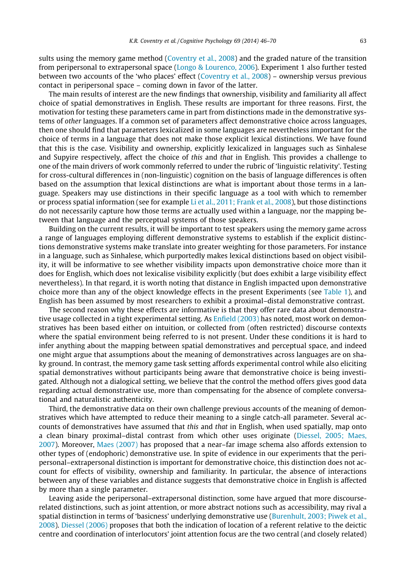sults using the memory game method ([Coventry et al., 2008\)](#page-22-0) and the graded nature of the transition from peripersonal to extrapersonal space [\(Longo & Lourenco, 2006](#page-23-0)). Experiment 1 also further tested between two accounts of the 'who places' effect [\(Coventry et al., 2008\)](#page-22-0) – ownership versus previous contact in peripersonal space – coming down in favor of the latter.

The main results of interest are the new findings that ownership, visibility and familiarity all affect choice of spatial demonstratives in English. These results are important for three reasons. First, the motivation for testing these parameters came in part from distinctions made in the demonstrative systems of other languages. If a common set of parameters affect demonstrative choice across languages, then one should find that parameters lexicalized in some languages are nevertheless important for the choice of terms in a language that does not make those explicit lexical distinctions. We have found that this is the case. Visibility and ownership, explicitly lexicalized in languages such as Sinhalese and Supyire respectively, affect the choice of this and that in English. This provides a challenge to one of the main drivers of work commonly referred to under the rubric of 'linguistic relativity'. Testing for cross-cultural differences in (non-linguistic) cognition on the basis of language differences is often based on the assumption that lexical distinctions are what is important about those terms in a language. Speakers may use distinctions in their specific language as a tool with which to remember or process spatial information (see for example [Li et al., 2011; Frank et al., 2008](#page-23-0)), but those distinctions do not necessarily capture how those terms are actually used within a language, nor the mapping between that language and the perceptual systems of those speakers.

Building on the current results, it will be important to test speakers using the memory game across a range of languages employing different demonstrative systems to establish if the explicit distinctions demonstrative systems make translate into greater weighting for those parameters. For instance in a language, such as Sinhalese, which purportedly makes lexical distinctions based on object visibility, it will be informative to see whether visibility impacts upon demonstrative choice more than it does for English, which does not lexicalise visibility explicitly (but does exhibit a large visibility effect nevertheless). In that regard, it is worth noting that distance in English impacted upon demonstrative choice more than any of the object knowledge effects in the present Experiments (see [Table 1](#page-6-0)), and English has been assumed by most researchers to exhibit a proximal–distal demonstrative contrast.

The second reason why these effects are informative is that they offer rare data about demonstrative usage collected in a tight experimental setting. As [Enfield \(2003\)](#page-22-0) has noted, most work on demonstratives has been based either on intuition, or collected from (often restricted) discourse contexts where the spatial environment being referred to is not present. Under these conditions it is hard to infer anything about the mapping between spatial demonstratives and perceptual space, and indeed one might argue that assumptions about the meaning of demonstratives across languages are on shaky ground. In contrast, the memory game task setting affords experimental control while also eliciting spatial demonstratives without participants being aware that demonstrative choice is being investigated. Although not a dialogical setting, we believe that the control the method offers gives good data regarding actual demonstrative use, more than compensating for the absence of complete conversational and naturalistic authenticity.

Third, the demonstrative data on their own challenge previous accounts of the meaning of demonstratives which have attempted to reduce their meaning to a single catch-all parameter. Several accounts of demonstratives have assumed that this and that in English, when used spatially, map onto a clean binary proximal–distal contrast from which other uses originate [\(Diessel, 2005; Maes,](#page-22-0) [2007](#page-22-0)). Moreover, [Maes \(2007\)](#page-23-0) has proposed that a near–far image schema also affords extension to other types of (endophoric) demonstrative use. In spite of evidence in our experiments that the peripersonal–extrapersonal distinction is important for demonstrative choice, this distinction does not account for effects of visibility, ownership and familiarity. In particular, the absence of interactions between any of these variables and distance suggests that demonstrative choice in English is affected by more than a single parameter.

Leaving aside the peripersonal–extrapersonal distinction, some have argued that more discourserelated distinctions, such as joint attention, or more abstract notions such as accessibility, may rival a spatial distinction in terms of 'basicness' underlying demonstrative use [\(Burenhult, 2003; Piwek et al.,](#page-22-0) [2008](#page-22-0)). [Diessel \(2006\)](#page-22-0) proposes that both the indication of location of a referent relative to the deictic centre and coordination of interlocutors' joint attention focus are the two central (and closely related)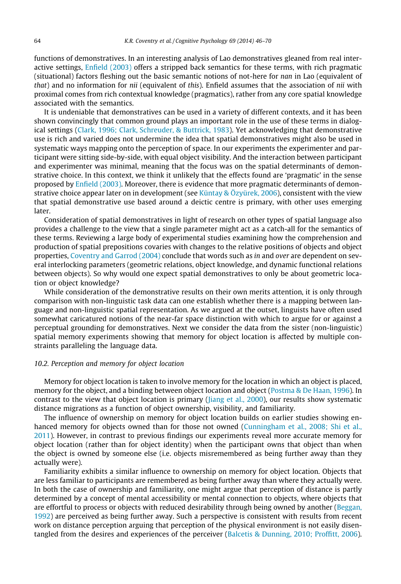functions of demonstratives. In an interesting analysis of Lao demonstratives gleaned from real interactive settings, [Enfield \(2003\)](#page-22-0) offers a stripped back semantics for these terms, with rich pragmatic (situational) factors fleshing out the basic semantic notions of not-here for nan in Lao (equivalent of that) and no information for nii (equivalent of this). Enfield assumes that the association of nii with proximal comes from rich contextual knowledge (pragmatics), rather from any core spatial knowledge associated with the semantics.

It is undeniable that demonstratives can be used in a variety of different contexts, and it has been shown convincingly that common ground plays an important role in the use of these terms in dialogical settings ([Clark, 1996; Clark, Schreuder, & Buttrick, 1983\)](#page-22-0). Yet acknowledging that demonstrative use is rich and varied does not undermine the idea that spatial demonstratives might also be used in systematic ways mapping onto the perception of space. In our experiments the experimenter and participant were sitting side-by-side, with equal object visibility. And the interaction between participant and experimenter was minimal, meaning that the focus was on the spatial determinants of demonstrative choice. In this context, we think it unlikely that the effects found are 'pragmatic' in the sense proposed by [Enfield \(2003\)](#page-22-0). Moreover, there is evidence that more pragmatic determinants of demonstrative choice appear later on in development (see [Küntay & Özyürek, 2006](#page-23-0)), consistent with the view that spatial demonstrative use based around a deictic centre is primary, with other uses emerging later.

Consideration of spatial demonstratives in light of research on other types of spatial language also provides a challenge to the view that a single parameter might act as a catch-all for the semantics of these terms. Reviewing a large body of experimental studies examining how the comprehension and production of spatial prepositions covaries with changes to the relative positions of objects and object properties, [Coventry and Garrod \(2004\)](#page-22-0) conclude that words such as in and over are dependent on several interlocking parameters (geometric relations, object knowledge, and dynamic functional relations between objects). So why would one expect spatial demonstratives to only be about geometric location or object knowledge?

While consideration of the demonstrative results on their own merits attention, it is only through comparison with non-linguistic task data can one establish whether there is a mapping between language and non-linguistic spatial representation. As we argued at the outset, linguists have often used somewhat caricatured notions of the near-far space distinction with which to argue for or against a perceptual grounding for demonstratives. Next we consider the data from the sister (non-linguistic) spatial memory experiments showing that memory for object location is affected by multiple constraints paralleling the language data.

# 10.2. Perception and memory for object location

Memory for object location is taken to involve memory for the location in which an object is placed, memory for the object, and a binding between object location and object [\(Postma & De Haan, 1996](#page-23-0)). In contrast to the view that object location is primary [\(Jiang et al., 2000](#page-23-0)), our results show systematic distance migrations as a function of object ownership, visibility, and familiarity.

The influence of ownership on memory for object location builds on earlier studies showing en-hanced memory for objects owned than for those not owned ([Cunningham et al., 2008; Shi et al.,](#page-22-0) [2011\)](#page-22-0). However, in contrast to previous findings our experiments reveal more accurate memory for object location (rather than for object identity) when the participant owns that object than when the object is owned by someone else (i.e. objects misremembered as being further away than they actually were).

Familiarity exhibits a similar influence to ownership on memory for object location. Objects that are less familiar to participants are remembered as being further away than where they actually were. In both the case of ownership and familiarity, one might argue that perception of distance is partly determined by a concept of mental accessibility or mental connection to objects, where objects that are effortful to process or objects with reduced desirability through being owned by another [\(Beggan,](#page-22-0) [1992\)](#page-22-0) are perceived as being further away. Such a perspective is consistent with results from recent work on distance perception arguing that perception of the physical environment is not easily disentangled from the desires and experiences of the perceiver ([Balcetis & Dunning, 2010; Proffitt, 2006](#page-21-0)).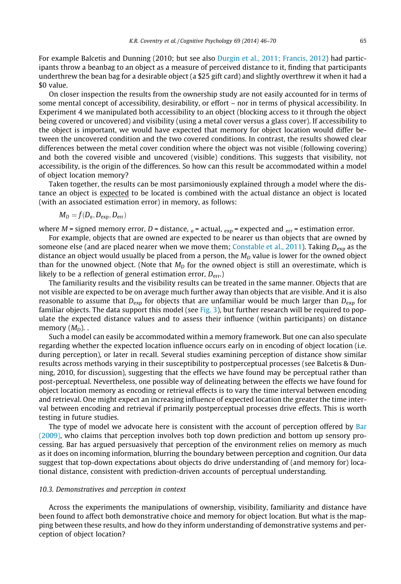For example Balcetis and Dunning (2010; but see also [Durgin et al., 2011; Francis, 2012](#page-22-0)) had participants throw a beanbag to an object as a measure of perceived distance to it, finding that participants underthrew the bean bag for a desirable object (a \$25 gift card) and slightly overthrew it when it had a \$0 value.

On closer inspection the results from the ownership study are not easily accounted for in terms of some mental concept of accessibility, desirability, or effort – nor in terms of physical accessibility. In Experiment 4 we manipulated both accessibility to an object (blocking access to it through the object being covered or uncovered) and visibility (using a metal cover versus a glass cover). If accessibility to the object is important, we would have expected that memory for object location would differ between the uncovered condition and the two covered conditions. In contrast, the results showed clear differences between the metal cover condition where the object was not visible (following covering) and both the covered visible and uncovered (visible) conditions. This suggests that visibility, not accessibility, is the origin of the differences. So how can this result be accommodated within a model of object location memory?

Taken together, the results can be most parsimoniously explained through a model where the distance an object is expected to be located is combined with the actual distance an object is located (with an associated estimation error) in memory, as follows:

$$
M_D = f(D_a, D_{\text{exp}}, D_{\text{err}})
$$

where M = signed memory error, D = distance,  $a =$  actual,  $_{exp}$  = expected and  $_{err}$  = estimation error.

For example, objects that are owned are expected to be nearer us than objects that are owned by someone else (and are placed nearer when we move them; [Constable et al., 2011](#page-22-0)). Taking  $D_{\text{exp}}$  as the distance an object would usually be placed from a person, the  $M<sub>D</sub>$  value is lower for the owned object than for the unowned object. (Note that  $M<sub>D</sub>$  for the owned object is still an overestimate, which is likely to be a reflection of general estimation error,  $D_{err}$ )

The familiarity results and the visibility results can be treated in the same manner. Objects that are not visible are expected to be on average much further away than objects that are visible. And it is also reasonable to assume that  $D_{\text{exp}}$  for objects that are unfamiliar would be much larger than  $D_{\text{exp}}$  for familiar objects. The data support this model (see [Fig. 3\)](#page-7-0), but further research will be required to populate the expected distance values and to assess their influence (within participants) on distance memory  $(M_D)$ ..

Such a model can easily be accommodated within a memory framework. But one can also speculate regarding whether the expected location influence occurs early on in encoding of object location (i.e. during perception), or later in recall. Several studies examining perception of distance show similar results across methods varying in their susceptibility to postperceptual processes (see Balcetis & Dunning, 2010, for discussion), suggesting that the effects we have found may be perceptual rather than post-perceptual. Nevertheless, one possible way of delineating between the effects we have found for object location memory as encoding or retrieval effects is to vary the time interval between encoding and retrieval. One might expect an increasing influence of expected location the greater the time interval between encoding and retrieval if primarily postperceptual processes drive effects. This is worth testing in future studies.

The type of model we advocate here is consistent with the account of perception offered by [Bar](#page-22-0) [\(2009\)](#page-22-0), who claims that perception involves both top down prediction and bottom up sensory processing. Bar has argued persuasively that perception of the environment relies on memory as much as it does on incoming information, blurring the boundary between perception and cognition. Our data suggest that top-down expectations about objects do drive understanding of (and memory for) locational distance, consistent with prediction-driven accounts of perceptual understanding.

# 10.3. Demonstratives and perception in context

Across the experiments the manipulations of ownership, visibility, familiarity and distance have been found to affect both demonstrative choice and memory for object location. But what is the mapping between these results, and how do they inform understanding of demonstrative systems and perception of object location?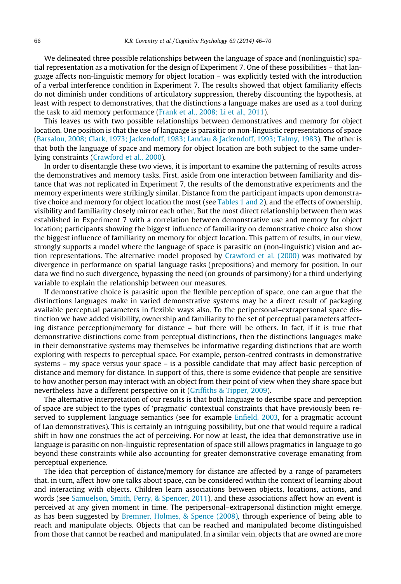We delineated three possible relationships between the language of space and (nonlinguistic) spatial representation as a motivation for the design of Experiment 7. One of these possibilities – that language affects non-linguistic memory for object location – was explicitly tested with the introduction of a verbal interference condition in Experiment 7. The results showed that object familiarity effects do not diminish under conditions of articulatory suppression, thereby discounting the hypothesis, at least with respect to demonstratives, that the distinctions a language makes are used as a tool during the task to aid memory performance ([Frank et al., 2008; Li et al., 2011](#page-23-0)).

This leaves us with two possible relationships between demonstratives and memory for object location. One position is that the use of language is parasitic on non-linguistic representations of space ([Barsalou, 2008; Clark, 1973; Jackendoff, 1983; Landau & Jackendoff, 1993; Talmy, 1983\)](#page-22-0). The other is that both the language of space and memory for object location are both subject to the same underlying constraints ([Crawford et al., 2000](#page-22-0)).

In order to disentangle these two views, it is important to examine the patterning of results across the demonstratives and memory tasks. First, aside from one interaction between familiarity and distance that was not replicated in Experiment 7, the results of the demonstrative experiments and the memory experiments were strikingly similar. Distance from the participant impacts upon demonstrative choice and memory for object location the most (see [Tables 1 and 2\)](#page-6-0), and the effects of ownership, visibility and familiarity closely mirror each other. But the most direct relationship between them was established in Experiment 7 with a correlation between demonstrative use and memory for object location; participants showing the biggest influence of familiarity on demonstrative choice also show the biggest influence of familiarity on memory for object location. This pattern of results, in our view, strongly supports a model where the language of space is parasitic on (non-linguistic) vision and action representations. The alternative model proposed by [Crawford et al. \(2000\)](#page-22-0) was motivated by divergence in performance on spatial language tasks (prepositions) and memory for position. In our data we find no such divergence, bypassing the need (on grounds of parsimony) for a third underlying variable to explain the relationship between our measures.

If demonstrative choice is parasitic upon the flexible perception of space, one can argue that the distinctions languages make in varied demonstrative systems may be a direct result of packaging available perceptual parameters in flexible ways also. To the peripersonal–extrapersonal space distinction we have added visibility, ownership and familiarity to the set of perceptual parameters affecting distance perception/memory for distance – but there will be others. In fact, if it is true that demonstrative distinctions come from perceptual distinctions, then the distinctions languages make in their demonstrative systems may themselves be informative regarding distinctions that are worth exploring with respects to perceptual space. For example, person-centred contrasts in demonstrative systems – my space versus your space – is a possible candidate that may affect basic perception of distance and memory for distance. In support of this, there is some evidence that people are sensitive to how another person may interact with an object from their point of view when they share space but nevertheless have a different perspective on it [\(Griffiths & Tipper, 2009\)](#page-23-0).

The alternative interpretation of our results is that both language to describe space and perception of space are subject to the types of 'pragmatic' contextual constraints that have previously been reserved to supplement language semantics (see for example [Enfield, 2003](#page-22-0), for a pragmatic account of Lao demonstratives). This is certainly an intriguing possibility, but one that would require a radical shift in how one construes the act of perceiving. For now at least, the idea that demonstrative use in language is parasitic on non-linguistic representation of space still allows pragmatics in language to go beyond these constraints while also accounting for greater demonstrative coverage emanating from perceptual experience.

The idea that perception of distance/memory for distance are affected by a range of parameters that, in turn, affect how one talks about space, can be considered within the context of learning about and interacting with objects. Children learn associations between objects, locations, actions, and words (see [Samuelson, Smith, Perry, & Spencer, 2011\)](#page-23-0), and these associations affect how an event is perceived at any given moment in time. The peripersonal–extrapersonal distinction might emerge, as has been suggested by [Bremner, Holmes, & Spence \(2008\),](#page-22-0) through experience of being able to reach and manipulate objects. Objects that can be reached and manipulated become distinguished from those that cannot be reached and manipulated. In a similar vein, objects that are owned are more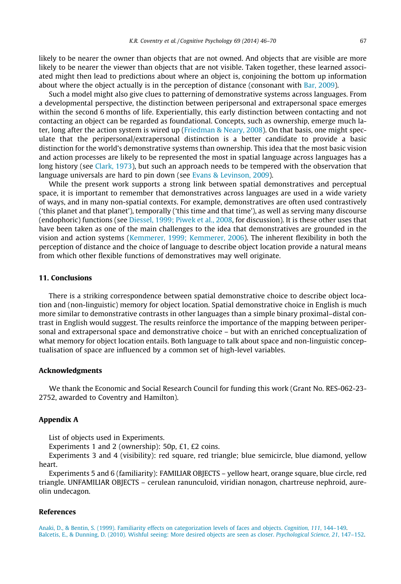<span id="page-21-0"></span>likely to be nearer the owner than objects that are not owned. And objects that are visible are more likely to be nearer the viewer than objects that are not visible. Taken together, these learned associated might then lead to predictions about where an object is, conjoining the bottom up information about where the object actually is in the perception of distance (consonant with [Bar, 2009\)](#page-22-0).

Such a model might also give clues to patterning of demonstrative systems across languages. From a developmental perspective, the distinction between peripersonal and extrapersonal space emerges within the second 6 months of life. Experientially, this early distinction between contacting and not contacting an object can be regarded as foundational. Concepts, such as ownership, emerge much later, long after the action system is wired up [\(Friedman & Neary, 2008](#page-23-0)). On that basis, one might speculate that the peripersonal/extrapersonal distinction is a better candidate to provide a basic distinction for the world's demonstrative systems than ownership. This idea that the most basic vision and action processes are likely to be represented the most in spatial language across languages has a long history (see [Clark, 1973](#page-22-0)), but such an approach needs to be tempered with the observation that language universals are hard to pin down (see [Evans & Levinson, 2009](#page-22-0)).

While the present work supports a strong link between spatial demonstratives and perceptual space, it is important to remember that demonstratives across languages are used in a wide variety of ways, and in many non-spatial contexts. For example, demonstratives are often used contrastively ('this planet and that planet'), temporally ('this time and that time'), as well as serving many discourse (endophoric) functions (see [Diessel, 1999; Piwek et al., 2008,](#page-22-0) for discussion). It is these other uses that have been taken as one of the main challenges to the idea that demonstratives are grounded in the vision and action systems [\(Kemmerer, 1999; Kemmerer, 2006\)](#page-23-0). The inherent flexibility in both the perception of distance and the choice of language to describe object location provide a natural means from which other flexible functions of demonstratives may well originate.

# 11. Conclusions

There is a striking correspondence between spatial demonstrative choice to describe object location and (non-linguistic) memory for object location. Spatial demonstrative choice in English is much more similar to demonstrative contrasts in other languages than a simple binary proximal–distal contrast in English would suggest. The results reinforce the importance of the mapping between peripersonal and extrapersonal space and demonstrative choice – but with an enriched conceptualization of what memory for object location entails. Both language to talk about space and non-linguistic conceptualisation of space are influenced by a common set of high-level variables.

#### Acknowledgments

We thank the Economic and Social Research Council for funding this work (Grant No. RES-062-23- 2752, awarded to Coventry and Hamilton).

# Appendix A

List of objects used in Experiments.

Experiments 1 and 2 (ownership): 50p, £1, £2 coins.

Experiments 3 and 4 (visibility): red square, red triangle; blue semicircle, blue diamond, yellow heart.

Experiments 5 and 6 (familiarity): FAMILIAR OBJECTS – yellow heart, orange square, blue circle, red triangle. UNFAMILIAR OBJECTS – cerulean ranunculoid, viridian nonagon, chartreuse nephroid, aureolin undecagon.

# References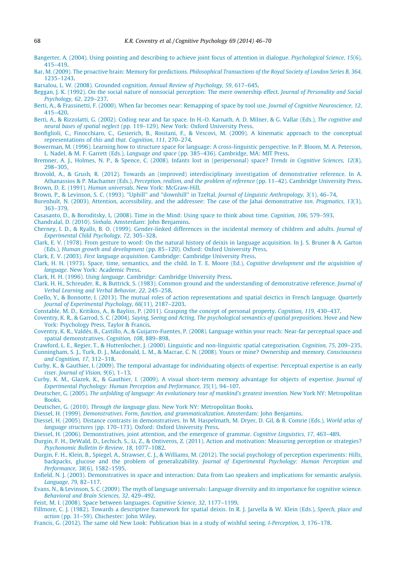- <span id="page-22-0"></span>[Bangerter, A. \(2004\). Using pointing and describing to achieve joint focus of attention in dialogue.](http://refhub.elsevier.com/S0010-0285(13)00071-6/h0015) Psychological Science, 15(6), [415–419.](http://refhub.elsevier.com/S0010-0285(13)00071-6/h0015)
- Bar, M. (2009). The proactive brain: Memory for predictions. [Philosophical Transactions of the Royal Society of London Series B, 364](http://refhub.elsevier.com/S0010-0285(13)00071-6/h0020), [1235–1243](http://refhub.elsevier.com/S0010-0285(13)00071-6/h0020).
- [Barsalou, L. W. \(2008\). Grounded cognition.](http://refhub.elsevier.com/S0010-0285(13)00071-6/h0025) Annual Review of Psychology, 59, 617–645.
- [Beggan, J. K. \(1992\). On the social nature of nonsocial perception: The mere ownership effect.](http://refhub.elsevier.com/S0010-0285(13)00071-6/h0030) Journal of Personality and Social [Psychology, 62](http://refhub.elsevier.com/S0010-0285(13)00071-6/h0030), 229–237.
- [Berti, A., & Frassinetti, F. \(2000\). When far becomes near: Remapping of space by tool use.](http://refhub.elsevier.com/S0010-0285(13)00071-6/h0035) Journal of Cognitive Neuroscience, 12, [415–420](http://refhub.elsevier.com/S0010-0285(13)00071-6/h0035).
- [Berti, A., & Rizzolatti, G. \(2002\). Coding near and far space. In H.-O. Karnath, A. D. Milner, & G. Vallar \(Eds.\),](http://refhub.elsevier.com/S0010-0285(13)00071-6/h0040) The cognitive and neural bases of spatial neglect [\(pp. 119–129\). New York: Oxford University Press](http://refhub.elsevier.com/S0010-0285(13)00071-6/h0040).
- [Bonfiglioli, C., Finocchiaro, C., Gesierich, B., Rositani, F., & Vescovi, M. \(2009\). A kinematic approach to the conceptual](http://refhub.elsevier.com/S0010-0285(13)00071-6/h0045) [representations of](http://refhub.elsevier.com/S0010-0285(13)00071-6/h0045) this and that. Cognition, 111, 270–274.
- [Bowerman, M. \(1996\). Learning how to structure space for language: A cross-linguistic perspective. In P. Bloom, M. A. Peterson,](http://refhub.elsevier.com/S0010-0285(13)00071-6/h0050) L. Nadel, & M. F. Garrett (Eds.), Language and space [\(pp. 385–436\). Cambridge, MA: MIT Press.](http://refhub.elsevier.com/S0010-0285(13)00071-6/h0050)
- [Bremner, A. J., Holmes, N. P., & Spence, C. \(2008\). Infants lost in \(peripersonal\) space?](http://refhub.elsevier.com/S0010-0285(13)00071-6/h0055) Trends in Cognitive Sciences, 12(8), [298–305](http://refhub.elsevier.com/S0010-0285(13)00071-6/h0055).
- [Brovold, A., & Grush, R. \(2012\). Towards an \(improved\) interdisciplinary investigation of demonstrative reference. In A.](http://refhub.elsevier.com/S0010-0285(13)00071-6/h0060) Athanassios & P. Machamer (Eds.), [Perception, realism, and the problem of reference](http://refhub.elsevier.com/S0010-0285(13)00071-6/h0060) (pp. 11–42). Cambridge University Press. Brown, D. E. (1991). Human universals[. New York: McGraw-Hill.](http://refhub.elsevier.com/S0010-0285(13)00071-6/h0065)
- Brown, P., & Levinson, S. C. (1993). "Uphill" and "downhill" in Tzeltal. Journal of Linguistic Anthropology, 3(1), 46–74.
- [Burenhult, N. \(2003\). Attention, accessibility, and the addressee: The case of the Jahai demonstrative](http://refhub.elsevier.com/S0010-0285(13)00071-6/h0075) ton. Pragmatics, 13(3), [363–379.](http://refhub.elsevier.com/S0010-0285(13)00071-6/h0075)
- [Casasanto, D., & Boroditsky, L. \(2008\). Time in the Mind: Using space to think about time.](http://refhub.elsevier.com/S0010-0285(13)00071-6/h0080) Cognition, 106, 579–593.
- Chandralal, D. (2010). Sinhala[. Amsterdam: John Benjamins](http://refhub.elsevier.com/S0010-0285(13)00071-6/h0085).
- [Cherney, I. D., & Ryalls, B. O. \(1999\). Gender-linked differences in the incidental memory of children and adults.](http://refhub.elsevier.com/S0010-0285(13)00071-6/h0090) Journal of [Experimental Child Psychology, 72](http://refhub.elsevier.com/S0010-0285(13)00071-6/h0090), 305–328.
- [Clark, E. V. \(1978\). From gesture to word: On the natural history of deixis in language acquisition. In J. S. Bruner & A. Garton](http://refhub.elsevier.com/S0010-0285(13)00071-6/h0095) (Eds.), Human growth and development [\(pp. 85–120\). Oxford: Oxford University Press.](http://refhub.elsevier.com/S0010-0285(13)00071-6/h0095)
- Clark, E. V. (2003). First language acquisition[. Cambridge: Cambridge University Press](http://refhub.elsevier.com/S0010-0285(13)00071-6/h0100).
- [Clark, H. H. \(1973\). Space, time, semantics, and the child. In T. E. Moore \(Ed.\),](http://refhub.elsevier.com/S0010-0285(13)00071-6/h0105) Cognitive development and the acquisition of language[. New York: Academic Press.](http://refhub.elsevier.com/S0010-0285(13)00071-6/h0105)
- Clark, H. H. (1996). Using language[. Cambridge: Cambridge University Press](http://refhub.elsevier.com/S0010-0285(13)00071-6/h0110).
- [Clark, H. H., Schreuder, R., & Buttrick, S. \(1983\). Common ground and the understanding of demonstrative reference.](http://refhub.elsevier.com/S0010-0285(13)00071-6/h0115) Journal of [Verbal Learning and Verbal Behavior, 22](http://refhub.elsevier.com/S0010-0285(13)00071-6/h0115), 245–258.
- [Coello, Y., & Bonnotte, I. \(2013\). The mutual roles of action representations and spatial deictics in French language.](http://refhub.elsevier.com/S0010-0285(13)00071-6/h0120) Quarterly [Journal of Experimental Psychology, 66](http://refhub.elsevier.com/S0010-0285(13)00071-6/h0120)(11), 2187–2203.
- [Constable, M. D., Kritikos, A., & Bayliss, P. \(2011\). Grasping the concept of personal property.](http://refhub.elsevier.com/S0010-0285(13)00071-6/h0125) Cognition, 119, 430–437.
- Coventry, K. R., & Garrod, S. C. (2004). Saying, Seeing and Acting. [The psychological semantics of spatial prepositions](http://refhub.elsevier.com/S0010-0285(13)00071-6/h0130). Hove and New [York: Psychology Press, Taylor & Francis.](http://refhub.elsevier.com/S0010-0285(13)00071-6/h0130)
- [Coventry, K. R., Valdés, B., Castillo, A., & Guijarro-Fuentes, P. \(2008\). Language within your reach: Near-far perceptual space and](http://refhub.elsevier.com/S0010-0285(13)00071-6/h0135) [spatial demonstratives.](http://refhub.elsevier.com/S0010-0285(13)00071-6/h0135) Cognition, 108, 889–898.
- [Crawford, L. E., Regier, T., & Huttenlocher, J. \(2000\). Linguistic and non-linguistic spatial categozisation.](http://refhub.elsevier.com/S0010-0285(13)00071-6/h0140) Cognition, 75, 209–235.
- [Cunningham, S. J., Turk, D. J., Macdonald, L. M., & Macrae, C. N. \(2008\). Yours or mine? Ownership and memory.](http://refhub.elsevier.com/S0010-0285(13)00071-6/h0145) Consciousness [and Cognition, 17](http://refhub.elsevier.com/S0010-0285(13)00071-6/h0145), 312–318.
- [Curby, K., & Gauthier, I. \(2009\). The temporal advantage for individuating objects of expertise: Perceptual expertise is an early](http://refhub.elsevier.com/S0010-0285(13)00071-6/h0150) riser. Journal of Vision,  $9(6)$ , 1–13.
- [Curby, K. M., Glazek, K., & Gauthier, I. \(2009\). A visual short-term memory advantage for objects of expertise.](http://refhub.elsevier.com/S0010-0285(13)00071-6/h0155) Journal of [Experimental Psychology: Human Perception and Performance, 35](http://refhub.elsevier.com/S0010-0285(13)00071-6/h0155)(1), 94–107.
- Deutscher, G. (2005). [The unfolding of language: An evolutionary tour of mankind's greatest invention](http://refhub.elsevier.com/S0010-0285(13)00071-6/h0160). New York NY: Metropolitan **Books**
- Deutscher, G. (2010). Through the language glass[. New York NY: Metropolitan Books](http://refhub.elsevier.com/S0010-0285(13)00071-6/h0165).
- Diessel, H. (1999). Demonstratives. [Form, function, and grammaticalization](http://refhub.elsevier.com/S0010-0285(13)00071-6/h0170). Amsterdam: John Benjamins.
- [Diessel, H. \(2005\). Distance contrasts in demonstratives. In M. Haspelmath, M. Dryer, D. Gil, & B. Comrie \(Eds.\),](http://refhub.elsevier.com/S0010-0285(13)00071-6/h0175) World atlas of language structures [\(pp. 170–173\). Oxford: Oxford University Press](http://refhub.elsevier.com/S0010-0285(13)00071-6/h0175).
- [Diessel, H. \(2006\). Demonstratives, joint attention, and the emergence of grammar.](http://refhub.elsevier.com/S0010-0285(13)00071-6/h0180) Cognitive Linguistics, 17, 463–489.
- [Durgin, F. H., DeWald, D., Lechich, S., Li, Z., & Ontiveros, Z. \(2011\). Action and motivation: Measuring perception or strategies?](http://refhub.elsevier.com/S0010-0285(13)00071-6/h0185) [Psychonomic Bulletin & Review, 18](http://refhub.elsevier.com/S0010-0285(13)00071-6/h0185), 1077–1082.
- [Durgin, F. H., Klein, B., Spiegel, A., Strawser, C. J., & Williams, M. \(2012\). The social psychology of perception experiments: Hills,](http://refhub.elsevier.com/S0010-0285(13)00071-6/h1234) backpacks, glucose and the problem of generalizability. [Journal of Experimental Psychology: Human Perception and](http://refhub.elsevier.com/S0010-0285(13)00071-6/h1234) Performance, 38[\(6\), 1582–1595.](http://refhub.elsevier.com/S0010-0285(13)00071-6/h1234)
- [Enfield, N. J. \(2003\). Demonstratives in space and interaction: Data from Lao speakers and implications for semantic analysis.](http://refhub.elsevier.com/S0010-0285(13)00071-6/h0195) [Language, 79](http://refhub.elsevier.com/S0010-0285(13)00071-6/h0195), 82–117.
- [Evans, N., & Levinson, S. C. \(2009\). The myth of language universals: Language diversity and its importance for cognitive science.](http://refhub.elsevier.com/S0010-0285(13)00071-6/h0200) [Behavioral and Brain Sciences, 32](http://refhub.elsevier.com/S0010-0285(13)00071-6/h0200), 429–492.
- [Feist, M. I. \(2008\). Space between languages.](http://refhub.elsevier.com/S0010-0285(13)00071-6/h0205) Cognitive Science, 32, 1177–1199.
- [Fillmore, C. J. \(1982\). Towards a descriptive framework for spatial deixis. In R. J. Jarvella & W. Klein \(Eds.\),](http://refhub.elsevier.com/S0010-0285(13)00071-6/h0210) Speech, place and action [\(pp. 31–59\). Chichester: John Wiley.](http://refhub.elsevier.com/S0010-0285(13)00071-6/h0210)
- [Francis, G. \(2012\). The same old New Look: Publication bias in a study of wishful seeing.](http://refhub.elsevier.com/S0010-0285(13)00071-6/h0215) I-Perception, 3, 176–178.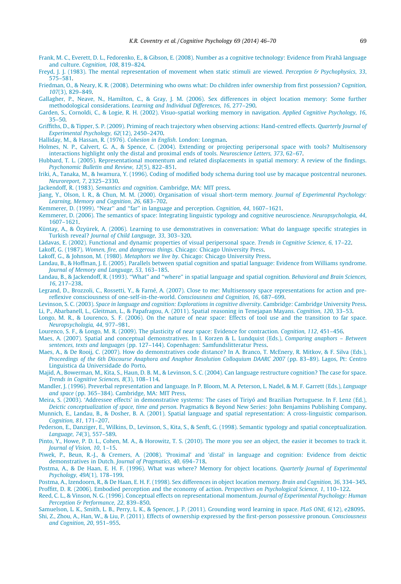- <span id="page-23-0"></span>[Frank, M. C., Everett, D. L., Fedorenko, E., & Gibson, E. \(2008\). Number as a cognitive technology: Evidence from Pirahã language](http://refhub.elsevier.com/S0010-0285(13)00071-6/h0220) and culture. [Cognition, 108](http://refhub.elsevier.com/S0010-0285(13)00071-6/h0220), 819–824.
- [Freyd, J. J. \(1983\). The mental representation of movement when static stimuli are viewed.](http://refhub.elsevier.com/S0010-0285(13)00071-6/h0225) Perception & Psychophysics, 33, [575–581](http://refhub.elsevier.com/S0010-0285(13)00071-6/h0225).
- [Friedman, O., & Neary, K. R. \(2008\). Determining who owns what: Do children infer ownership from first possession?](http://refhub.elsevier.com/S0010-0285(13)00071-6/h0230) Cognition, 107[\(3\), 829–849](http://refhub.elsevier.com/S0010-0285(13)00071-6/h0230).
- [Gallagher, P., Neave, N., Hamilton, C., & Gray, J. M. \(2006\). Sex differences in object location memory: Some further](http://refhub.elsevier.com/S0010-0285(13)00071-6/h0235) methodological considerations. [Learning and Individual Differences, 16](http://refhub.elsevier.com/S0010-0285(13)00071-6/h0235), 277–290.
- [Garden, S., Cornoldi, C., & Logie, R. H. \(2002\). Visuo-spatial working memory in navigation.](http://refhub.elsevier.com/S0010-0285(13)00071-6/h0240) Applied Cognitive Psychology, 16, [35–50](http://refhub.elsevier.com/S0010-0285(13)00071-6/h0240).
- [Griffiths, D., & Tipper, S. P. \(2009\). Priming of reach trajectory when observing actions: Hand-centred effects.](http://refhub.elsevier.com/S0010-0285(13)00071-6/h0245) Quarterly Journal of [Experimental Psychology, 62](http://refhub.elsevier.com/S0010-0285(13)00071-6/h0245)(12), 2450–2470.
- [Halliday, M., & Hassan, R. \(1976\).](http://refhub.elsevier.com/S0010-0285(13)00071-6/h0250) Cohesion in English. London: Longman.
- [Holmes, N. P., Calvert, G. A., & Spence, C. \(2004\). Extending or projecting peripersonal space with tools? Multisensory](http://refhub.elsevier.com/S0010-0285(13)00071-6/h0255) [interactions highlight only the distal and proximal ends of tools.](http://refhub.elsevier.com/S0010-0285(13)00071-6/h0255) Neuroscience Letters, 373, 62–67.
- [Hubbard, T. L. \(2005\). Representational momentum and related displacements in spatial memory: A review of the findings.](http://refhub.elsevier.com/S0010-0285(13)00071-6/h0260) [Psychonomic Bulletin and Review, 12](http://refhub.elsevier.com/S0010-0285(13)00071-6/h0260)(5), 822–851.
- [Iriki, A., Tanaka, M., & Iwamura, Y. \(1996\). Coding of modified body schema during tool use by macaque postcentral neurones.](http://refhub.elsevier.com/S0010-0285(13)00071-6/h0265) [Neuroreport, 7](http://refhub.elsevier.com/S0010-0285(13)00071-6/h0265), 2325–2330.
- Jackendoff, R. (1983). Semantics and cognition[. Cambridge, MA: MIT press.](http://refhub.elsevier.com/S0010-0285(13)00071-6/h0270)
- [Jiang, Y., Olson, I. R., & Chun, M. M. \(2000\). Organisation of visual short-term memory.](http://refhub.elsevier.com/S0010-0285(13)00071-6/h0275) Journal of Experimental Psychology: [Learning, Memory and Cognition, 26](http://refhub.elsevier.com/S0010-0285(13)00071-6/h0275), 683–702.
- [Kemmerer, D. \(1999\). ''Near'' and ''far'' in language and perception.](http://refhub.elsevier.com/S0010-0285(13)00071-6/h0280) Cognition, 44, 1607–1621.
- [Kemmerer, D. \(2006\). The semantics of space: Integrating linguistic typology and cognitive neuroscience.](http://refhub.elsevier.com/S0010-0285(13)00071-6/h0285) Neuropsychologia, 44, [1607–1621.](http://refhub.elsevier.com/S0010-0285(13)00071-6/h0285)
- [Küntay, A., & Özyürek, A. \(2006\). Learning to use demonstratives in conversation: What do language specific strategies in](http://refhub.elsevier.com/S0010-0285(13)00071-6/h0290) Turkish reveal? [Journal of Child Language, 33](http://refhub.elsevier.com/S0010-0285(13)00071-6/h0290), 303–320.
- [Làdavas, E. \(2002\). Functional and dynamic properties of visual peripersonal space.](http://refhub.elsevier.com/S0010-0285(13)00071-6/h0295) Trends in Cognitive Science, 6, 17–22.
- Lakoff, G. (1987). Women, fire, and dangerous things[. Chicago: Chicago University Press.](http://refhub.elsevier.com/S0010-0285(13)00071-6/h0300)
- Lakoff, G., & Johnson, M. (1980). Metaphors we live by[. Chicago: Chicago University Press](http://refhub.elsevier.com/S0010-0285(13)00071-6/h0305).
- [Landau, B., & Hoffman, J. E. \(2005\). Parallels between spatial cognition and spatial language: Evidence from Williams syndrome.](http://refhub.elsevier.com/S0010-0285(13)00071-6/h0310) [Journal of Memory and Language, 53](http://refhub.elsevier.com/S0010-0285(13)00071-6/h0310), 163–185.
- [Landau, B., & Jackendoff, R. \(1993\). ''What'' and ''where'' in spatial language and spatial cognition.](http://refhub.elsevier.com/S0010-0285(13)00071-6/h0315) Behavioral and Brain Sciences, 16[, 217–238.](http://refhub.elsevier.com/S0010-0285(13)00071-6/h0315)
- [Legrand, D., Brozzoli, C., Rossetti, Y., & Farné, A. \(2007\). Close to me: Multisensory space representations for action and pre](http://refhub.elsevier.com/S0010-0285(13)00071-6/h0320)[reflexive consciousness of one-self-in-the-world.](http://refhub.elsevier.com/S0010-0285(13)00071-6/h0320) Consciousness and Cognition, 16, 687–699.
- Levinson, S. C. (2003). [Space in language and cognition: Explorations in cognitive diversity](http://refhub.elsevier.com/S0010-0285(13)00071-6/h0325). Cambridge: Cambridge University Press. [Li, P., Abarbanell, L., Gleitman, L., & Papafragou, A. \(2011\). Spatial reasoning in Tenejapan Mayans.](http://refhub.elsevier.com/S0010-0285(13)00071-6/h0330) Cognition, 120, 33–53.
- [Longo, M. R., & Lourenco, S. F. \(2006\). On the nature of near space: Effects of tool use and the transition to far space.](http://refhub.elsevier.com/S0010-0285(13)00071-6/h0335) [Neuropsychologia, 44](http://refhub.elsevier.com/S0010-0285(13)00071-6/h0335), 977–981.
- [Lourenco, S. F., & Longo, M. R. \(2009\). The plasticity of near space: Evidence for contraction.](http://refhub.elsevier.com/S0010-0285(13)00071-6/h0340) Cognition, 112, 451–456.
- [Maes, A. \(2007\). Spatial and conceptual demonstratives. In I. Korzen & L. Lundquist \(Eds.\),](http://refhub.elsevier.com/S0010-0285(13)00071-6/h0345) Comparing anaphors Between sentences, texts and languages (pp. 127-144). Copenhagen: Samfundslitteratur Press.
- [Maes, A., & De Rooij, C. \(2007\). How do demonstratives code distance? In A. Branco, T. McEnery, R. Mitkov, & F. Silva \(Eds.\),](http://refhub.elsevier.com/S0010-0285(13)00071-6/h0350) [Proceedings of the 6th Discourse Anaphora and Anaphor Resolution Colloquium DAARC 2007](http://refhub.elsevier.com/S0010-0285(13)00071-6/h0350) (pp. 83–89). Lagos, Pt: Centro [Linguistica da Universidade do Porto](http://refhub.elsevier.com/S0010-0285(13)00071-6/h0350).
- [Majid, A., Bowerman, M., Kita, S., Haun, D. B. M., & Levinson, S. C. \(2004\). Can language restructure cognition? The case for space.](http://refhub.elsevier.com/S0010-0285(13)00071-6/h0355) [Trends in Cognitive Sciences, 8](http://refhub.elsevier.com/S0010-0285(13)00071-6/h0355)(3), 108–114.
- [Mandler, J. \(1996\). Preverbal representation and language. In P. Bloom, M. A. Peterson, L. Nadel, & M. F. Garrett \(Eds.\),](http://refhub.elsevier.com/S0010-0285(13)00071-6/h0360) Language and space [\(pp. 365–384\). Cambridge, MA: MIT Press.](http://refhub.elsevier.com/S0010-0285(13)00071-6/h0360)
- [Meira, S. \(2003\). 'Addressee effects' in demonstrative systems: The cases of Tiriyó and Brazilian Portuguese. In F. Lenz \(Ed.\),](http://refhub.elsevier.com/S0010-0285(13)00071-6/h0365) Deictic conceptualization of space, time and person[. Pragmatics & Beyond New Series: John Benjamins Publishing Company](http://refhub.elsevier.com/S0010-0285(13)00071-6/h0365).
- [Munnich, E., Landau, B., & Dosher, B. A. \(2001\). Spatial language and spatial representation: A cross-linguistic comparison.](http://refhub.elsevier.com/S0010-0285(13)00071-6/h0370) [Cognition, 81](http://refhub.elsevier.com/S0010-0285(13)00071-6/h0370), 171–207.
- [Pederson, E., Danziger, E., Wilkins, D., Levinson, S., Kita, S., & Senft, G. \(1998\). Semantic typology and spatial conceptualization.](http://refhub.elsevier.com/S0010-0285(13)00071-6/h0375) Language, 74[\(3\), 557–589.](http://refhub.elsevier.com/S0010-0285(13)00071-6/h0375)
- [Pinto, Y., Howe, P. D. L., Cohen, M. A., & Horowitz, T. S. \(2010\). The more you see an object, the easier it becomes to track it.](http://refhub.elsevier.com/S0010-0285(13)00071-6/h0380) [Journal of Vision, 10](http://refhub.elsevier.com/S0010-0285(13)00071-6/h0380), 1–15.
- [Piwek, P., Beun, R.-J., & Cremers, A. \(2008\). 'Proximal' and 'distal' in language and cognition: Evidence from deictic](http://refhub.elsevier.com/S0010-0285(13)00071-6/h0385) [demonstratives in Dutch.](http://refhub.elsevier.com/S0010-0285(13)00071-6/h0385) Journal of Pragmatics, 40, 694–718.
- [Postma, A., & De Haan, E. H. F. \(1996\). What was where? Memory for object locations.](http://refhub.elsevier.com/S0010-0285(13)00071-6/h0390) Quarterly Journal of Experimental [Psychology, 49A](http://refhub.elsevier.com/S0010-0285(13)00071-6/h0390)(1), 178–199.
- [Postma, A., Izendoorn, R., & De Haan, E. H. F. \(1998\). Sex differences in object location memory.](http://refhub.elsevier.com/S0010-0285(13)00071-6/h0395) Brain and Cognition, 36, 334–345. [Proffitt, D. R. \(2006\). Embodied perception and the economy of action.](http://refhub.elsevier.com/S0010-0285(13)00071-6/h0400) Perspectives on Psychological Science, 1, 110–122.
- [Reed, C. L., & Vinson, N. G. \(1996\). Conceptual effects on representational momentum.](http://refhub.elsevier.com/S0010-0285(13)00071-6/h0405) Journal of Experimental Psychology: Human [Perception & Performance, 22](http://refhub.elsevier.com/S0010-0285(13)00071-6/h0405), 839–850.
- [Samuelson, L. K., Smith, L. B., Perry, L. K., & Spencer, J. P. \(2011\). Grounding word learning in space.](http://refhub.elsevier.com/S0010-0285(13)00071-6/h0410) PLoS ONE, 6(12), e28095.
- [Shi, Z., Zhou, A., Han, W., & Liu, P. \(2011\). Effects of ownership expressed by the first-person possessive pronoun.](http://refhub.elsevier.com/S0010-0285(13)00071-6/h0415) Consciousness [and Cognition, 20](http://refhub.elsevier.com/S0010-0285(13)00071-6/h0415), 951–955.